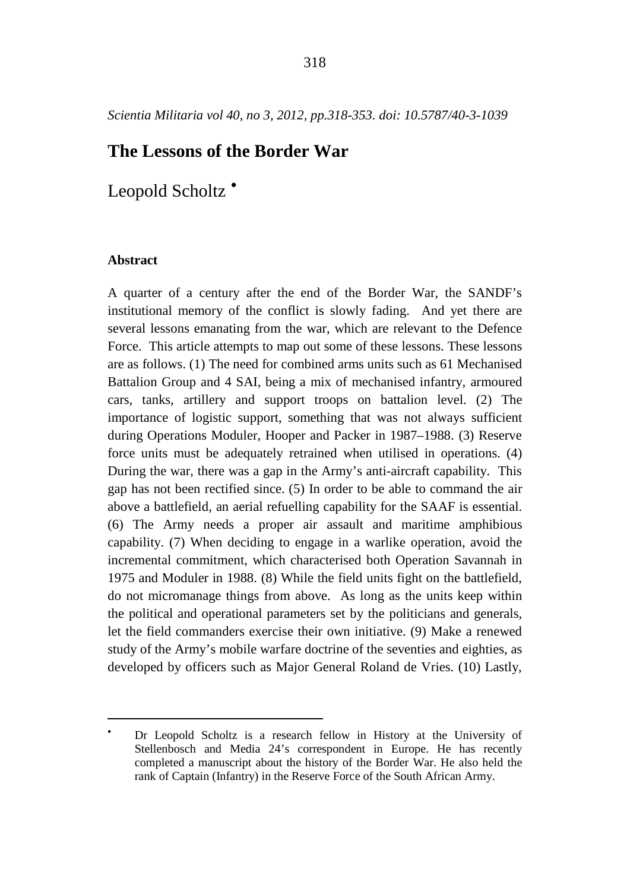# <span id="page-0-0"></span>**The Lessons of the Border War**

Leopold Scholtz<sup></sup>

# **Abstract**

 $\overline{a}$ 

A quarter of a century after the end of the Border War, the SANDF's institutional memory of the conflict is slowly fading. And yet there are several lessons emanating from the war, which are relevant to the Defence Force. This article attempts to map out some of these lessons. These lessons are as follows. (1) The need for combined arms units such as 61 Mechanised Battalion Group and 4 SAI, being a mix of mechanised infantry, armoured cars, tanks, artillery and support troops on battalion level. (2) The importance of logistic support, something that was not always sufficient during Operations Moduler, Hooper and Packer in 1987–1988. (3) Reserve force units must be adequately retrained when utilised in operations. (4) During the war, there was a gap in the Army's anti-aircraft capability. This gap has not been rectified since. (5) In order to be able to command the air above a battlefield, an aerial refuelling capability for the SAAF is essential. (6) The Army needs a proper air assault and maritime amphibious capability. (7) When deciding to engage in a warlike operation, avoid the incremental commitment, which characterised both Operation Savannah in 1975 and Moduler in 1988. (8) While the field units fight on the battlefield, do not micromanage things from above. As long as the units keep within the political and operational parameters set by the politicians and generals, let the field commanders exercise their own initiative. (9) Make a renewed study of the Army's mobile warfare doctrine of the seventies and eighties, as developed by officers such as Major General Roland de Vries. (10) Lastly,

<sup>•</sup> Dr Leopold Scholtz is a research fellow in History at the University of Stellenbosch and Media 24's correspondent in Europe. He has recently completed a manuscript about the history of the Border War. He also held the rank of Captain (Infantry) in the Reserve Force of the South African Army.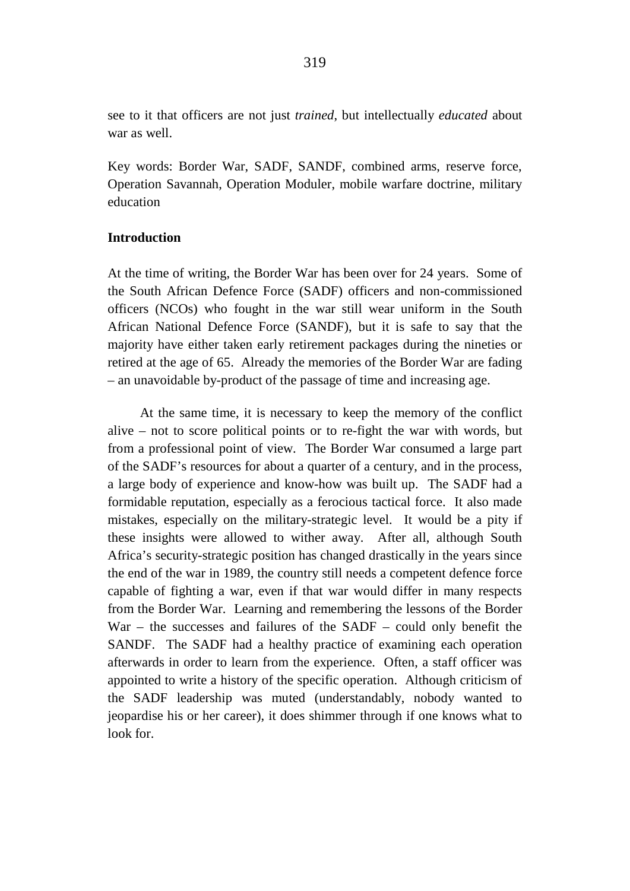see to it that officers are not just *trained*, but intellectually *educated* about war as well.

Key words: Border War, SADF, SANDF, combined arms, reserve force, Operation Savannah, Operation Moduler, mobile warfare doctrine, military education

## **Introduction**

At the time of writing, the Border War has been over for 24 years. Some of the South African Defence Force (SADF) officers and non-commissioned officers (NCOs) who fought in the war still wear uniform in the South African National Defence Force (SANDF), but it is safe to say that the majority have either taken early retirement packages during the nineties or retired at the age of 65. Already the memories of the Border War are fading – an unavoidable by-product of the passage of time and increasing age.

At the same time, it is necessary to keep the memory of the conflict alive – not to score political points or to re-fight the war with words, but from a professional point of view. The Border War consumed a large part of the SADF's resources for about a quarter of a century, and in the process, a large body of experience and know-how was built up. The SADF had a formidable reputation, especially as a ferocious tactical force. It also made mistakes, especially on the military-strategic level. It would be a pity if these insights were allowed to wither away. After all, although South Africa's security-strategic position has changed drastically in the years since the end of the war in 1989, the country still needs a competent defence force capable of fighting a war, even if that war would differ in many respects from the Border War. Learning and remembering the lessons of the Border War – the successes and failures of the SADF – could only benefit the SANDF. The SADF had a healthy practice of examining each operation afterwards in order to learn from the experience. Often, a staff officer was appointed to write a history of the specific operation. Although criticism of the SADF leadership was muted (understandably, nobody wanted to jeopardise his or her career), it does shimmer through if one knows what to look for.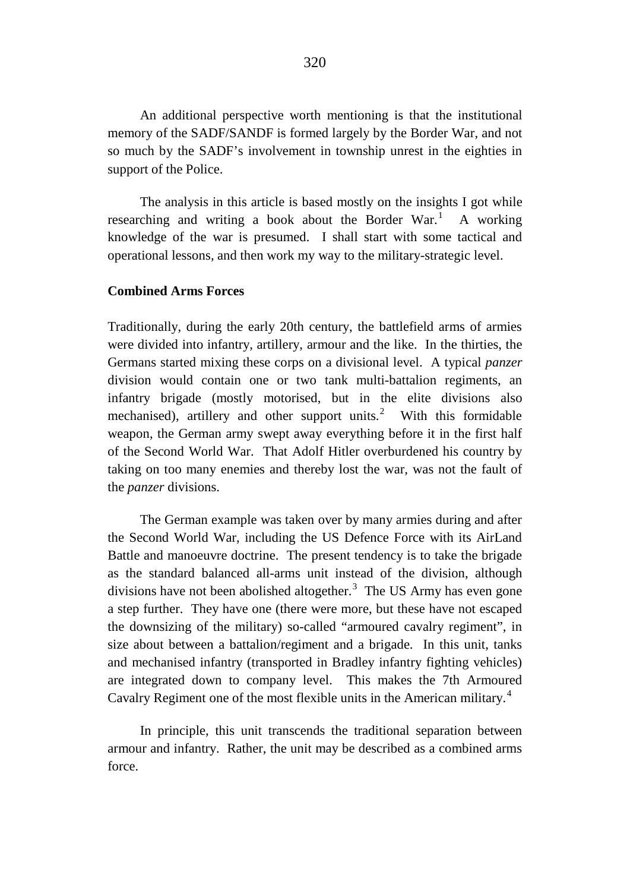An additional perspective worth mentioning is that the institutional memory of the SADF/SANDF is formed largely by the Border War, and not so much by the SADF's involvement in township unrest in the eighties in support of the Police.

The analysis in this article is based mostly on the insights I got while researching and writing a book about the Border War.<sup>[1](#page-31-0)</sup> A working knowledge of the war is presumed. I shall start with some tactical and operational lessons, and then work my way to the military-strategic level.

#### **Combined Arms Forces**

Traditionally, during the early 20th century, the battlefield arms of armies were divided into infantry, artillery, armour and the like. In the thirties, the Germans started mixing these corps on a divisional level. A typical *panzer* division would contain one or two tank multi-battalion regiments, an infantry brigade (mostly motorised, but in the elite divisions also mechanised), artillery and other support units.<sup>[2](#page-31-1)</sup> With this formidable weapon, the German army swept away everything before it in the first half of the Second World War. That Adolf Hitler overburdened his country by taking on too many enemies and thereby lost the war, was not the fault of the *panzer* divisions.

The German example was taken over by many armies during and after the Second World War, including the US Defence Force with its AirLand Battle and manoeuvre doctrine. The present tendency is to take the brigade as the standard balanced all-arms unit instead of the division, although divisions have not been abolished altogether. $3$  The US Army has even gone a step further. They have one (there were more, but these have not escaped the downsizing of the military) so-called "armoured cavalry regiment", in size about between a battalion/regiment and a brigade. In this unit, tanks and mechanised infantry (transported in Bradley infantry fighting vehicles) are integrated down to company level. This makes the 7th Armoured Cavalry Regiment one of the most flexible units in the American military.<sup>[4](#page-31-3)</sup>

In principle, this unit transcends the traditional separation between armour and infantry. Rather, the unit may be described as a combined arms force.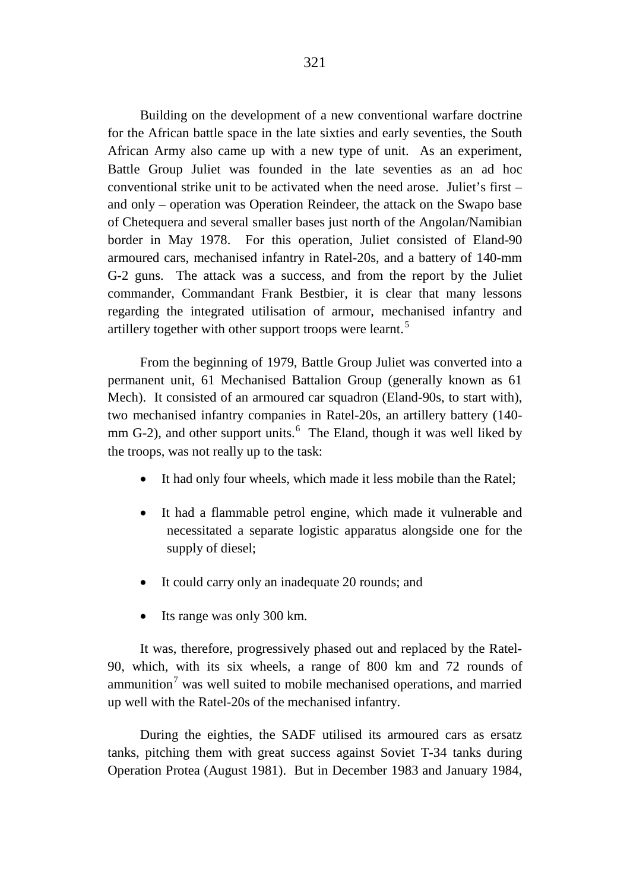Building on the development of a new conventional warfare doctrine for the African battle space in the late sixties and early seventies, the South African Army also came up with a new type of unit. As an experiment, Battle Group Juliet was founded in the late seventies as an ad hoc conventional strike unit to be activated when the need arose. Juliet's first – and only – operation was Operation Reindeer, the attack on the Swapo base of Chetequera and several smaller bases just north of the Angolan/Namibian border in May 1978. For this operation, Juliet consisted of Eland-90 armoured cars, mechanised infantry in Ratel-20s, and a battery of 140-mm G-2 guns. The attack was a success, and from the report by the Juliet commander, Commandant Frank Bestbier, it is clear that many lessons regarding the integrated utilisation of armour, mechanised infantry and artillery together with other support troops were learnt.<sup>[5](#page-31-4)</sup>

From the beginning of 1979, Battle Group Juliet was converted into a permanent unit, 61 Mechanised Battalion Group (generally known as 61 Mech). It consisted of an armoured car squadron (Eland-90s, to start with), two mechanised infantry companies in Ratel-20s, an artillery battery (140- mm G-2), and other support units.<sup>[6](#page-31-5)</sup> The Eland, though it was well liked by the troops, was not really up to the task:

- It had only four wheels, which made it less mobile than the Ratel;
- It had a flammable petrol engine, which made it vulnerable and necessitated a separate logistic apparatus alongside one for the supply of diesel;
- It could carry only an inadequate 20 rounds; and
- Its range was only 300 km.

It was, therefore, progressively phased out and replaced by the Ratel-90, which, with its six wheels, a range of 800 km and 72 rounds of ammunition<sup>[7](#page-31-6)</sup> was well suited to mobile mechanised operations, and married up well with the Ratel-20s of the mechanised infantry.

During the eighties, the SADF utilised its armoured cars as ersatz tanks, pitching them with great success against Soviet T-34 tanks during Operation Protea (August 1981). But in December 1983 and January 1984,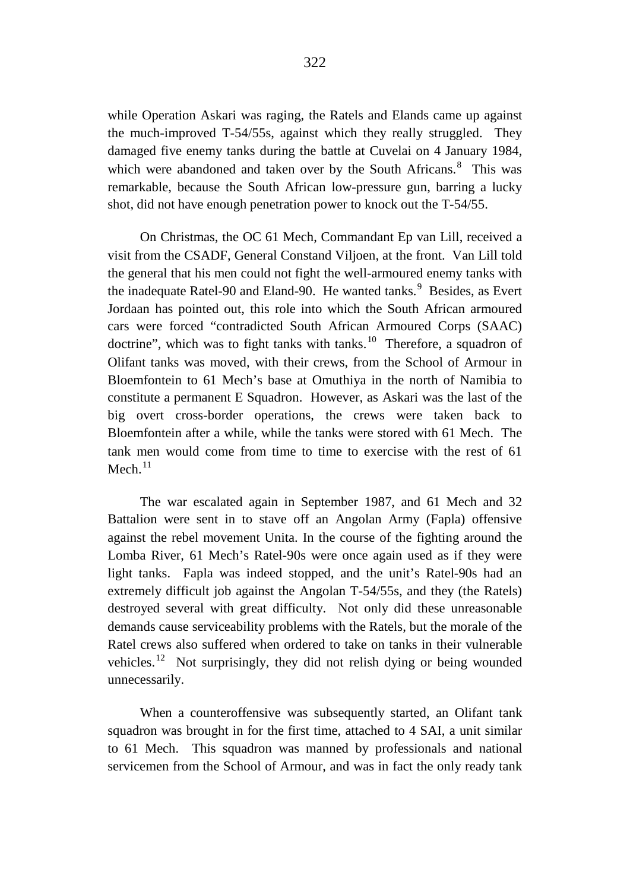while Operation Askari was raging, the Ratels and Elands came up against the much-improved T-54/55s, against which they really struggled. They damaged five enemy tanks during the battle at Cuvelai on 4 January 1984, which were abandoned and taken over by the South Africans.<sup>[8](#page-31-7)</sup> This was remarkable, because the South African low-pressure gun, barring a lucky shot, did not have enough penetration power to knock out the T-54/55.

On Christmas, the OC 61 Mech, Commandant Ep van Lill, received a visit from the CSADF, General Constand Viljoen, at the front. Van Lill told the general that his men could not fight the well-armoured enemy tanks with the inadequate Ratel-[9](#page-31-8)0 and Eland-90. He wanted tanks.<sup>9</sup> Besides, as Evert Jordaan has pointed out, this role into which the South African armoured cars were forced "contradicted South African Armoured Corps (SAAC) doctrine", which was to fight tanks with tanks.<sup>10</sup> Therefore, a squadron of Olifant tanks was moved, with their crews, from the School of Armour in Bloemfontein to 61 Mech's base at Omuthiya in the north of Namibia to constitute a permanent E Squadron. However, as Askari was the last of the big overt cross-border operations, the crews were taken back to Bloemfontein after a while, while the tanks were stored with 61 Mech. The tank men would come from time to time to exercise with the rest of 61 Mech $11$ 

The war escalated again in September 1987, and 61 Mech and 32 Battalion were sent in to stave off an Angolan Army (Fapla) offensive against the rebel movement Unita. In the course of the fighting around the Lomba River, 61 Mech's Ratel-90s were once again used as if they were light tanks. Fapla was indeed stopped, and the unit's Ratel-90s had an extremely difficult job against the Angolan T-54/55s, and they (the Ratels) destroyed several with great difficulty. Not only did these unreasonable demands cause serviceability problems with the Ratels, but the morale of the Ratel crews also suffered when ordered to take on tanks in their vulnerable vehicles.<sup>[12](#page-32-2)</sup> Not surprisingly, they did not relish dying or being wounded unnecessarily.

When a counteroffensive was subsequently started, an Olifant tank squadron was brought in for the first time, attached to 4 SAI, a unit similar to 61 Mech. This squadron was manned by professionals and national servicemen from the School of Armour, and was in fact the only ready tank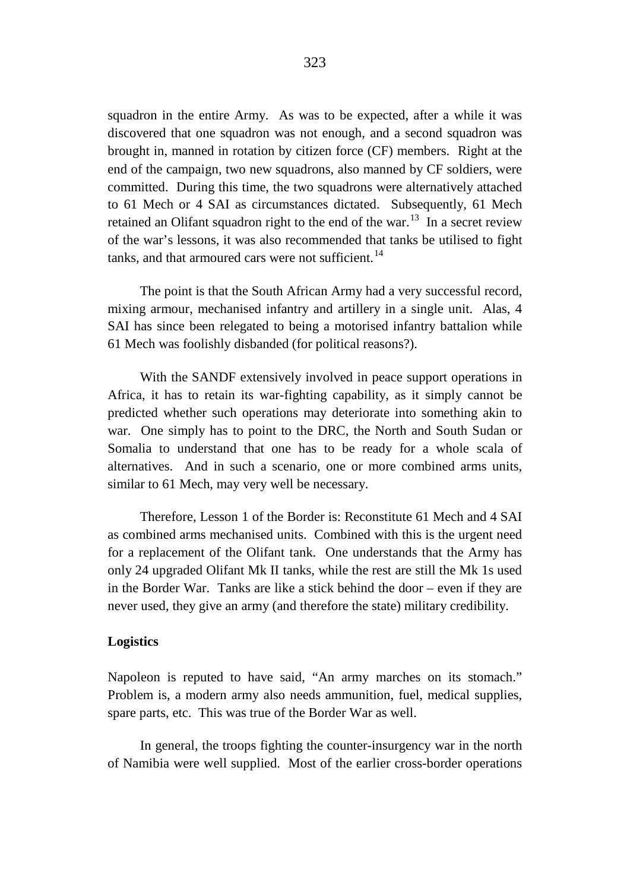squadron in the entire Army. As was to be expected, after a while it was discovered that one squadron was not enough, and a second squadron was brought in, manned in rotation by citizen force (CF) members. Right at the end of the campaign, two new squadrons, also manned by CF soldiers, were committed. During this time, the two squadrons were alternatively attached to 61 Mech or 4 SAI as circumstances dictated. Subsequently, 61 Mech retained an Olifant squadron right to the end of the war.<sup>[13](#page-32-3)</sup> In a secret review of the war's lessons, it was also recommended that tanks be utilised to fight tanks, and that armoured cars were not sufficient. $^{14}$  $^{14}$  $^{14}$ 

The point is that the South African Army had a very successful record, mixing armour, mechanised infantry and artillery in a single unit. Alas, 4 SAI has since been relegated to being a motorised infantry battalion while 61 Mech was foolishly disbanded (for political reasons?).

With the SANDF extensively involved in peace support operations in Africa, it has to retain its war-fighting capability, as it simply cannot be predicted whether such operations may deteriorate into something akin to war. One simply has to point to the DRC, the North and South Sudan or Somalia to understand that one has to be ready for a whole scala of alternatives. And in such a scenario, one or more combined arms units, similar to 61 Mech, may very well be necessary.

Therefore, Lesson 1 of the Border is: Reconstitute 61 Mech and 4 SAI as combined arms mechanised units. Combined with this is the urgent need for a replacement of the Olifant tank. One understands that the Army has only 24 upgraded Olifant Mk II tanks, while the rest are still the Mk 1s used in the Border War. Tanks are like a stick behind the door – even if they are never used, they give an army (and therefore the state) military credibility.

# **Logistics**

Napoleon is reputed to have said, "An army marches on its stomach." Problem is, a modern army also needs ammunition, fuel, medical supplies, spare parts, etc. This was true of the Border War as well.

In general, the troops fighting the counter-insurgency war in the north of Namibia were well supplied. Most of the earlier cross-border operations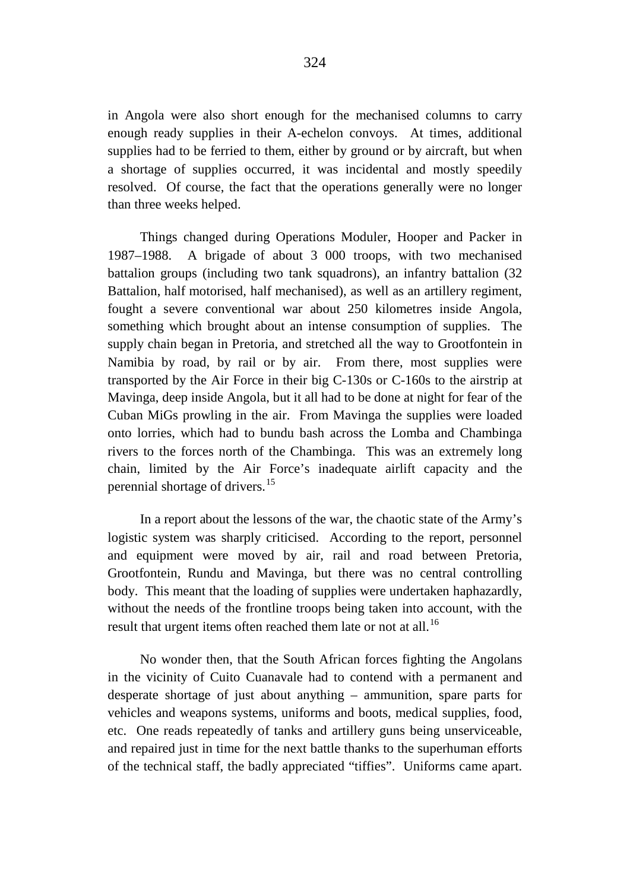in Angola were also short enough for the mechanised columns to carry enough ready supplies in their A-echelon convoys. At times, additional supplies had to be ferried to them, either by ground or by aircraft, but when a shortage of supplies occurred, it was incidental and mostly speedily resolved. Of course, the fact that the operations generally were no longer than three weeks helped.

Things changed during Operations Moduler, Hooper and Packer in 1987–1988. A brigade of about 3 000 troops, with two mechanised battalion groups (including two tank squadrons), an infantry battalion (32 Battalion, half motorised, half mechanised), as well as an artillery regiment, fought a severe conventional war about 250 kilometres inside Angola, something which brought about an intense consumption of supplies. The supply chain began in Pretoria, and stretched all the way to Grootfontein in Namibia by road, by rail or by air. From there, most supplies were transported by the Air Force in their big C-130s or C-160s to the airstrip at Mavinga, deep inside Angola, but it all had to be done at night for fear of the Cuban MiGs prowling in the air. From Mavinga the supplies were loaded onto lorries, which had to bundu bash across the Lomba and Chambinga rivers to the forces north of the Chambinga. This was an extremely long chain, limited by the Air Force's inadequate airlift capacity and the perennial shortage of drivers.[15](#page-32-5)

In a report about the lessons of the war, the chaotic state of the Army's logistic system was sharply criticised. According to the report, personnel and equipment were moved by air, rail and road between Pretoria, Grootfontein, Rundu and Mavinga, but there was no central controlling body. This meant that the loading of supplies were undertaken haphazardly, without the needs of the frontline troops being taken into account, with the result that urgent items often reached them late or not at all.<sup>[16](#page-32-6)</sup>

No wonder then, that the South African forces fighting the Angolans in the vicinity of Cuito Cuanavale had to contend with a permanent and desperate shortage of just about anything – ammunition, spare parts for vehicles and weapons systems, uniforms and boots, medical supplies, food, etc. One reads repeatedly of tanks and artillery guns being unserviceable, and repaired just in time for the next battle thanks to the superhuman efforts of the technical staff, the badly appreciated "tiffies". Uniforms came apart.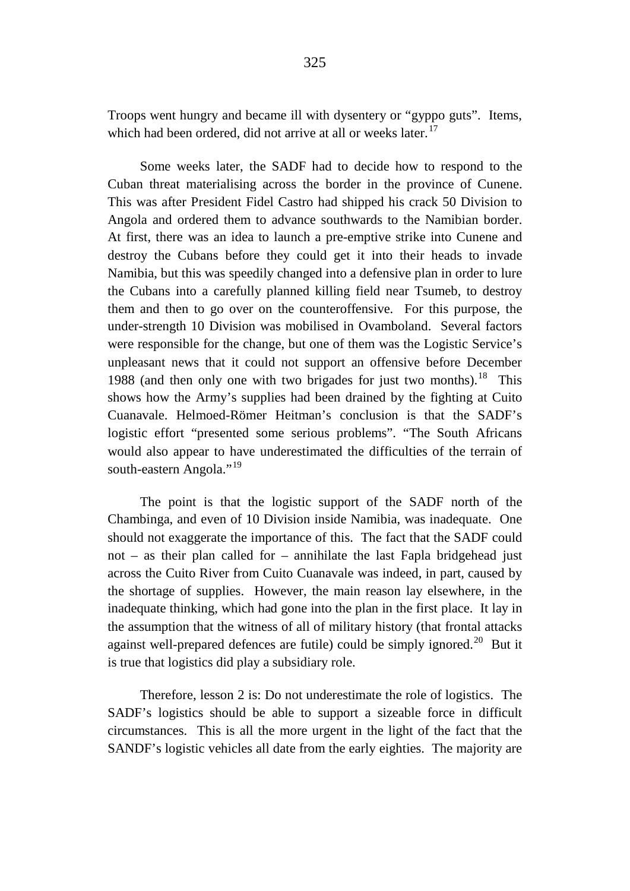Troops went hungry and became ill with dysentery or "gyppo guts". Items, which had been ordered, did not arrive at all or weeks later.<sup>[17](#page-32-7)</sup>

Some weeks later, the SADF had to decide how to respond to the Cuban threat materialising across the border in the province of Cunene. This was after President Fidel Castro had shipped his crack 50 Division to Angola and ordered them to advance southwards to the Namibian border. At first, there was an idea to launch a pre-emptive strike into Cunene and destroy the Cubans before they could get it into their heads to invade Namibia, but this was speedily changed into a defensive plan in order to lure the Cubans into a carefully planned killing field near Tsumeb, to destroy them and then to go over on the counteroffensive. For this purpose, the under-strength 10 Division was mobilised in Ovamboland. Several factors were responsible for the change, but one of them was the Logistic Service's unpleasant news that it could not support an offensive before December 1988 (and then only one with two brigades for just two months).<sup>18</sup> This shows how the Army's supplies had been drained by the fighting at Cuito Cuanavale. Helmoed-Römer Heitman's conclusion is that the SADF's logistic effort "presented some serious problems". "The South Africans would also appear to have underestimated the difficulties of the terrain of south-eastern Angola."<sup>[19](#page-32-9)</sup>

The point is that the logistic support of the SADF north of the Chambinga, and even of 10 Division inside Namibia, was inadequate. One should not exaggerate the importance of this. The fact that the SADF could not – as their plan called for – annihilate the last Fapla bridgehead just across the Cuito River from Cuito Cuanavale was indeed, in part, caused by the shortage of supplies. However, the main reason lay elsewhere, in the inadequate thinking, which had gone into the plan in the first place. It lay in the assumption that the witness of all of military history (that frontal attacks against well-prepared defences are futile) could be simply ignored.<sup>20</sup> But it is true that logistics did play a subsidiary role.

Therefore, lesson 2 is: Do not underestimate the role of logistics. The SADF's logistics should be able to support a sizeable force in difficult circumstances. This is all the more urgent in the light of the fact that the SANDF's logistic vehicles all date from the early eighties. The majority are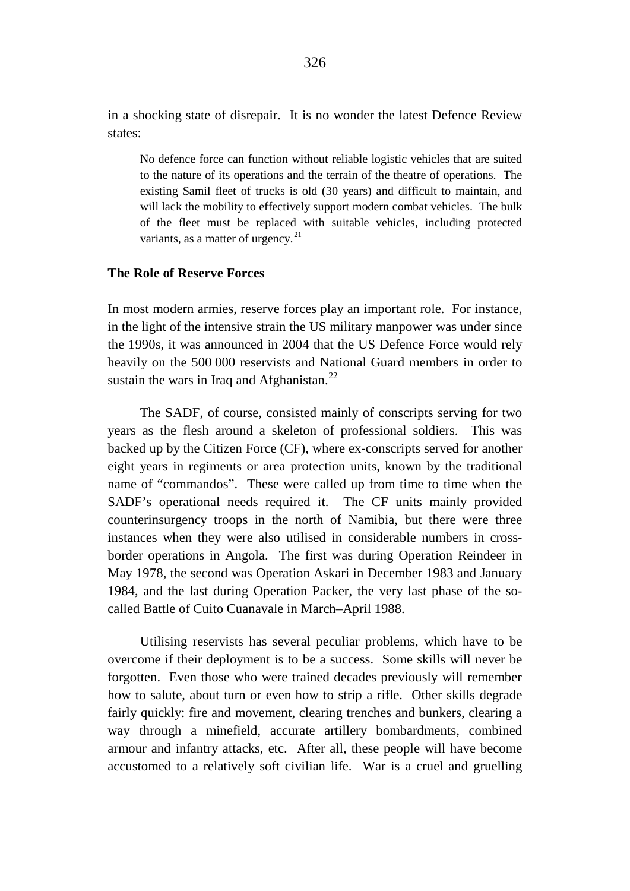in a shocking state of disrepair. It is no wonder the latest Defence Review states:

No defence force can function without reliable logistic vehicles that are suited to the nature of its operations and the terrain of the theatre of operations. The existing Samil fleet of trucks is old (30 years) and difficult to maintain, and will lack the mobility to effectively support modern combat vehicles. The bulk of the fleet must be replaced with suitable vehicles, including protected variants, as a matter of urgency.<sup>[21](#page-32-11)</sup>

#### **The Role of Reserve Forces**

In most modern armies, reserve forces play an important role. For instance, in the light of the intensive strain the US military manpower was under since the 1990s, it was announced in 2004 that the US Defence Force would rely heavily on the 500 000 reservists and National Guard members in order to sustain the wars in Iraq and Afghanistan.<sup>[22](#page-32-12)</sup>

The SADF, of course, consisted mainly of conscripts serving for two years as the flesh around a skeleton of professional soldiers. This was backed up by the Citizen Force (CF), where ex-conscripts served for another eight years in regiments or area protection units, known by the traditional name of "commandos". These were called up from time to time when the SADF's operational needs required it. The CF units mainly provided counterinsurgency troops in the north of Namibia, but there were three instances when they were also utilised in considerable numbers in crossborder operations in Angola. The first was during Operation Reindeer in May 1978, the second was Operation Askari in December 1983 and January 1984, and the last during Operation Packer, the very last phase of the socalled Battle of Cuito Cuanavale in March–April 1988.

Utilising reservists has several peculiar problems, which have to be overcome if their deployment is to be a success. Some skills will never be forgotten. Even those who were trained decades previously will remember how to salute, about turn or even how to strip a rifle. Other skills degrade fairly quickly: fire and movement, clearing trenches and bunkers, clearing a way through a minefield, accurate artillery bombardments, combined armour and infantry attacks, etc. After all, these people will have become accustomed to a relatively soft civilian life. War is a cruel and gruelling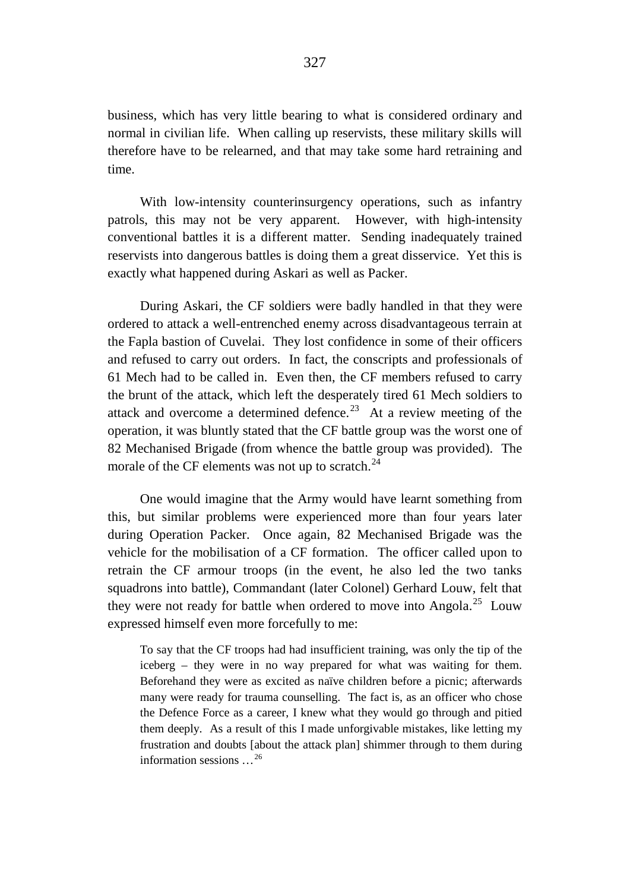business, which has very little bearing to what is considered ordinary and normal in civilian life. When calling up reservists, these military skills will therefore have to be relearned, and that may take some hard retraining and time.

With low-intensity counterinsurgency operations, such as infantry patrols, this may not be very apparent. However, with high-intensity conventional battles it is a different matter. Sending inadequately trained reservists into dangerous battles is doing them a great disservice. Yet this is exactly what happened during Askari as well as Packer.

During Askari, the CF soldiers were badly handled in that they were ordered to attack a well-entrenched enemy across disadvantageous terrain at the Fapla bastion of Cuvelai. They lost confidence in some of their officers and refused to carry out orders. In fact, the conscripts and professionals of 61 Mech had to be called in. Even then, the CF members refused to carry the brunt of the attack, which left the desperately tired 61 Mech soldiers to attack and overcome a determined defence.<sup>[23](#page-32-13)</sup> At a review meeting of the operation, it was bluntly stated that the CF battle group was the worst one of 82 Mechanised Brigade (from whence the battle group was provided). The morale of the CF elements was not up to scratch. $^{24}$  $^{24}$  $^{24}$ 

One would imagine that the Army would have learnt something from this, but similar problems were experienced more than four years later during Operation Packer. Once again, 82 Mechanised Brigade was the vehicle for the mobilisation of a CF formation. The officer called upon to retrain the CF armour troops (in the event, he also led the two tanks squadrons into battle), Commandant (later Colonel) Gerhard Louw, felt that they were not ready for battle when ordered to move into Angola.<sup>[25](#page-32-15)</sup> Louw expressed himself even more forcefully to me:

To say that the CF troops had had insufficient training, was only the tip of the iceberg – they were in no way prepared for what was waiting for them. Beforehand they were as excited as naïve children before a picnic; afterwards many were ready for trauma counselling. The fact is, as an officer who chose the Defence Force as a career, I knew what they would go through and pitied them deeply. As a result of this I made unforgivable mistakes, like letting my frustration and doubts [about the attack plan] shimmer through to them during information sessions …[26](#page-32-16)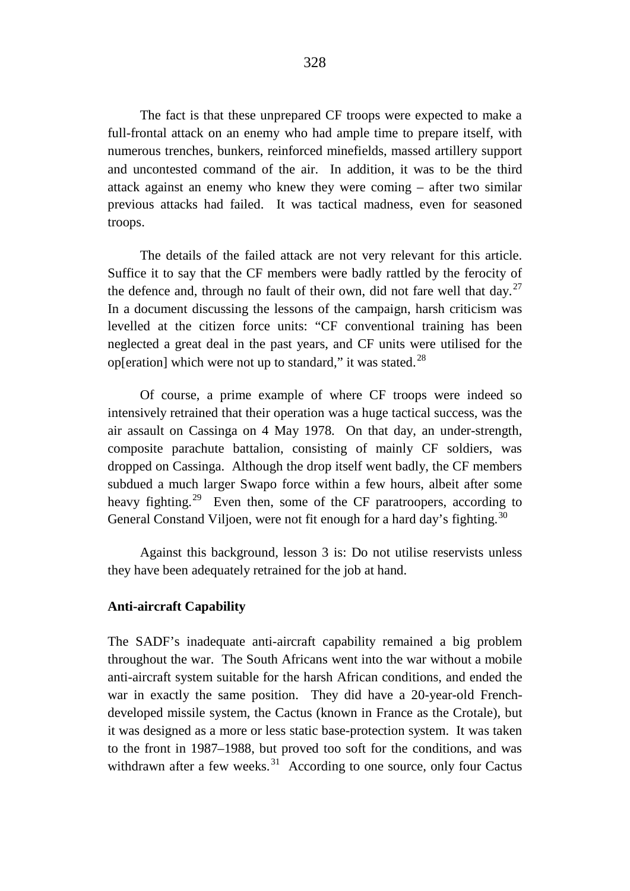The fact is that these unprepared CF troops were expected to make a full-frontal attack on an enemy who had ample time to prepare itself, with numerous trenches, bunkers, reinforced minefields, massed artillery support and uncontested command of the air. In addition, it was to be the third attack against an enemy who knew they were coming – after two similar previous attacks had failed. It was tactical madness, even for seasoned troops.

The details of the failed attack are not very relevant for this article. Suffice it to say that the CF members were badly rattled by the ferocity of the defence and, through no fault of their own, did not fare well that day.<sup>27</sup> In a document discussing the lessons of the campaign, harsh criticism was levelled at the citizen force units: "CF conventional training has been neglected a great deal in the past years, and CF units were utilised for the op[eration] which were not up to standard," it was stated. $^{28}$  $^{28}$  $^{28}$ 

Of course, a prime example of where CF troops were indeed so intensively retrained that their operation was a huge tactical success, was the air assault on Cassinga on 4 May 1978. On that day, an under-strength, composite parachute battalion, consisting of mainly CF soldiers, was dropped on Cassinga. Although the drop itself went badly, the CF members subdued a much larger Swapo force within a few hours, albeit after some heavy fighting.<sup>29</sup> Even then, some of the CF paratroopers, according to General Constand Viljoen, were not fit enough for a hard day's fighting.<sup>[30](#page-32-20)</sup>

Against this background, lesson 3 is: Do not utilise reservists unless they have been adequately retrained for the job at hand.

## **Anti-aircraft Capability**

The SADF's inadequate anti-aircraft capability remained a big problem throughout the war. The South Africans went into the war without a mobile anti-aircraft system suitable for the harsh African conditions, and ended the war in exactly the same position. They did have a 20-year-old Frenchdeveloped missile system, the Cactus (known in France as the Crotale), but it was designed as a more or less static base-protection system. It was taken to the front in 1987–1988, but proved too soft for the conditions, and was withdrawn after a few weeks.<sup>[31](#page-32-21)</sup> According to one source, only four Cactus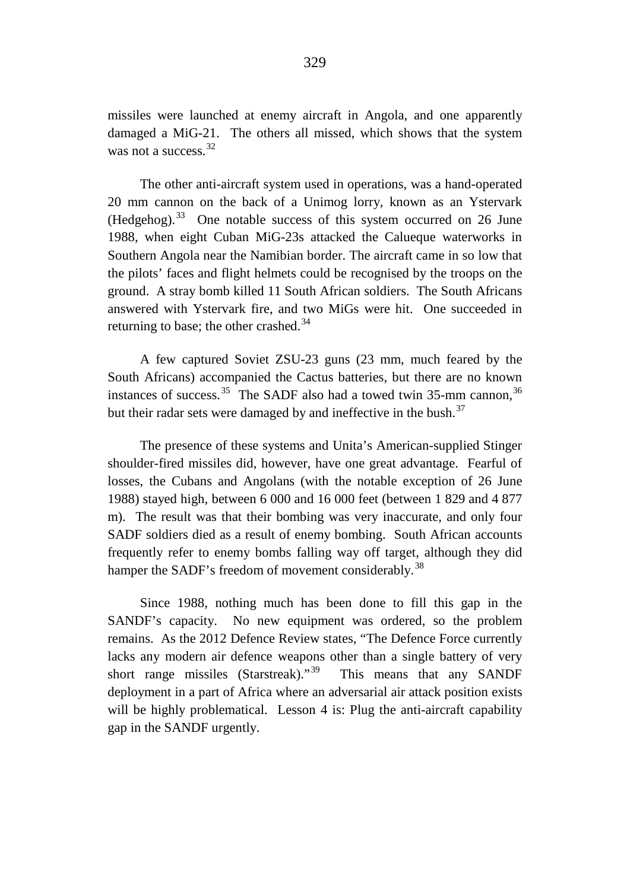missiles were launched at enemy aircraft in Angola, and one apparently damaged a MiG-21. The others all missed, which shows that the system was not a success.<sup>[32](#page-33-0)</sup>

The other anti-aircraft system used in operations, was a hand-operated 20 mm cannon on the back of a Unimog lorry, known as an Ystervark (Hedgehog).[33](#page-33-1) One notable success of this system occurred on 26 June 1988, when eight Cuban MiG-23s attacked the Calueque waterworks in Southern Angola near the Namibian border. The aircraft came in so low that the pilots' faces and flight helmets could be recognised by the troops on the ground. A stray bomb killed 11 South African soldiers. The South Africans answered with Ystervark fire, and two MiGs were hit. One succeeded in returning to base; the other crashed.<sup>[34](#page-33-2)</sup>

A few captured Soviet ZSU-23 guns (23 mm, much feared by the South Africans) accompanied the Cactus batteries, but there are no known instances of success.<sup>35</sup> The SADF also had a towed twin 35-mm cannon,<sup>[36](#page-33-4)</sup> but their radar sets were damaged by and ineffective in the bush.<sup>[37](#page-33-5)</sup>

The presence of these systems and Unita's American-supplied Stinger shoulder-fired missiles did, however, have one great advantage. Fearful of losses, the Cubans and Angolans (with the notable exception of 26 June 1988) stayed high, between 6 000 and 16 000 feet (between 1 829 and 4 877 m). The result was that their bombing was very inaccurate, and only four SADF soldiers died as a result of enemy bombing. South African accounts frequently refer to enemy bombs falling way off target, although they did hamper the SADF's freedom of movement considerably.<sup>[38](#page-33-6)</sup>

Since 1988, nothing much has been done to fill this gap in the SANDF's capacity. No new equipment was ordered, so the problem remains. As the 2012 Defence Review states, "The Defence Force currently lacks any modern air defence weapons other than a single battery of very short range missiles (Starstreak)."<sup>39</sup> This means that any SANDF deployment in a part of Africa where an adversarial air attack position exists will be highly problematical. Lesson 4 is: Plug the anti-aircraft capability gap in the SANDF urgently.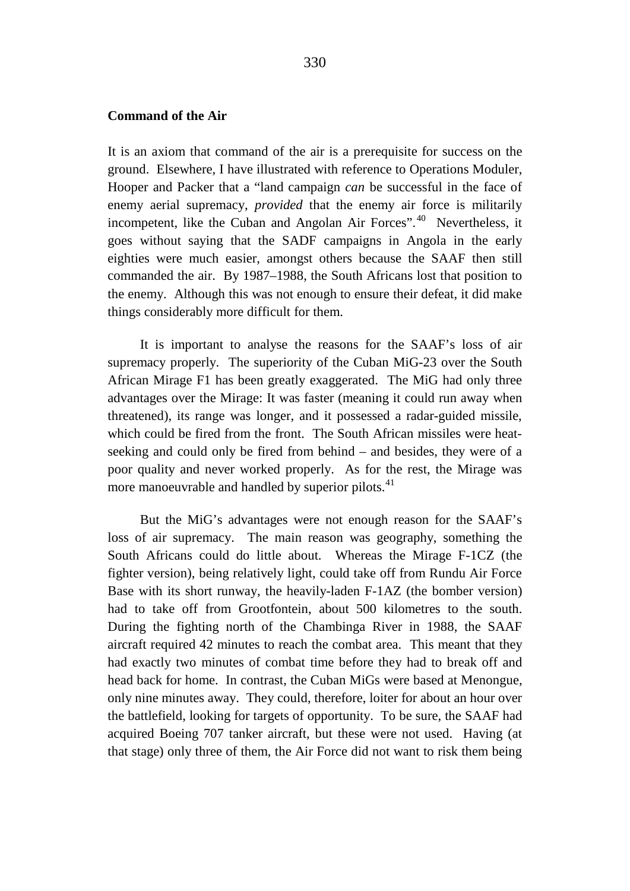#### **Command of the Air**

It is an axiom that command of the air is a prerequisite for success on the ground. Elsewhere, I have illustrated with reference to Operations Moduler, Hooper and Packer that a "land campaign *can* be successful in the face of enemy aerial supremacy, *provided* that the enemy air force is militarily incompetent, like the Cuban and Angolan Air Forces".[40](#page-33-8) Nevertheless, it goes without saying that the SADF campaigns in Angola in the early eighties were much easier, amongst others because the SAAF then still commanded the air. By 1987–1988, the South Africans lost that position to the enemy. Although this was not enough to ensure their defeat, it did make things considerably more difficult for them.

It is important to analyse the reasons for the SAAF's loss of air supremacy properly. The superiority of the Cuban MiG-23 over the South African Mirage F1 has been greatly exaggerated. The MiG had only three advantages over the Mirage: It was faster (meaning it could run away when threatened), its range was longer, and it possessed a radar-guided missile, which could be fired from the front. The South African missiles were heatseeking and could only be fired from behind – and besides, they were of a poor quality and never worked properly. As for the rest, the Mirage was more manoeuvrable and handled by superior pilots.<sup>[41](#page-33-9)</sup>

But the MiG's advantages were not enough reason for the SAAF's loss of air supremacy. The main reason was geography, something the South Africans could do little about. Whereas the Mirage F-1CZ (the fighter version), being relatively light, could take off from Rundu Air Force Base with its short runway, the heavily-laden F-1AZ (the bomber version) had to take off from Grootfontein, about 500 kilometres to the south. During the fighting north of the Chambinga River in 1988, the SAAF aircraft required 42 minutes to reach the combat area. This meant that they had exactly two minutes of combat time before they had to break off and head back for home. In contrast, the Cuban MiGs were based at Menongue, only nine minutes away. They could, therefore, loiter for about an hour over the battlefield, looking for targets of opportunity. To be sure, the SAAF had acquired Boeing 707 tanker aircraft, but these were not used. Having (at that stage) only three of them, the Air Force did not want to risk them being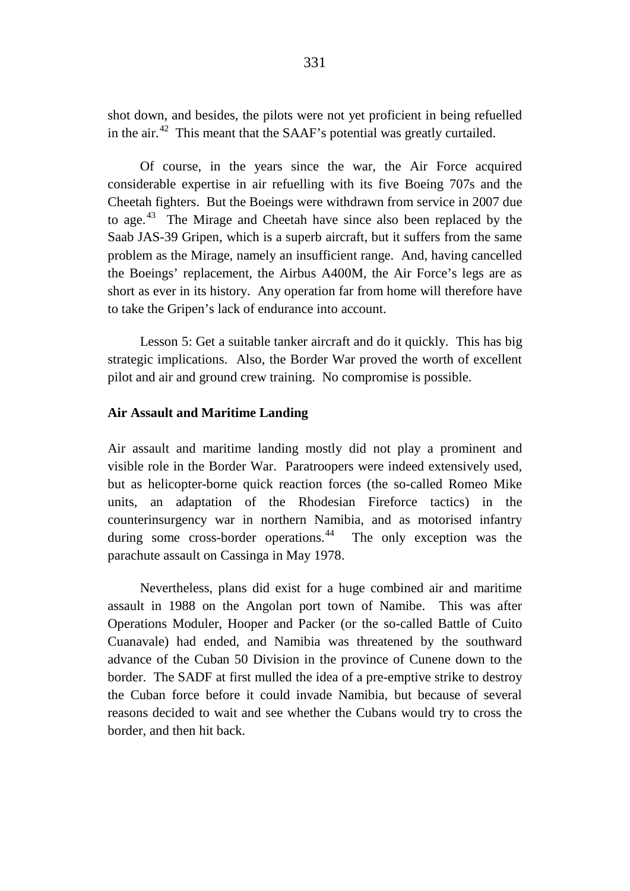shot down, and besides, the pilots were not yet proficient in being refuelled in the air. $42$  This meant that the SAAF's potential was greatly curtailed.

Of course, in the years since the war, the Air Force acquired considerable expertise in air refuelling with its five Boeing 707s and the Cheetah fighters. But the Boeings were withdrawn from service in 2007 due to age.[43](#page-33-11) The Mirage and Cheetah have since also been replaced by the Saab JAS-39 Gripen, which is a superb aircraft, but it suffers from the same problem as the Mirage, namely an insufficient range. And, having cancelled the Boeings' replacement, the Airbus A400M, the Air Force's legs are as short as ever in its history. Any operation far from home will therefore have to take the Gripen's lack of endurance into account.

Lesson 5: Get a suitable tanker aircraft and do it quickly. This has big strategic implications. Also, the Border War proved the worth of excellent pilot and air and ground crew training. No compromise is possible.

# **Air Assault and Maritime Landing**

Air assault and maritime landing mostly did not play a prominent and visible role in the Border War. Paratroopers were indeed extensively used, but as helicopter-borne quick reaction forces (the so-called Romeo Mike units, an adaptation of the Rhodesian Fireforce tactics) in the counterinsurgency war in northern Namibia, and as motorised infantry during some cross-border operations.<sup>[44](#page-33-12)</sup> The only exception was the parachute assault on Cassinga in May 1978.

Nevertheless, plans did exist for a huge combined air and maritime assault in 1988 on the Angolan port town of Namibe. This was after Operations Moduler, Hooper and Packer (or the so-called Battle of Cuito Cuanavale) had ended, and Namibia was threatened by the southward advance of the Cuban 50 Division in the province of Cunene down to the border. The SADF at first mulled the idea of a pre-emptive strike to destroy the Cuban force before it could invade Namibia, but because of several reasons decided to wait and see whether the Cubans would try to cross the border, and then hit back.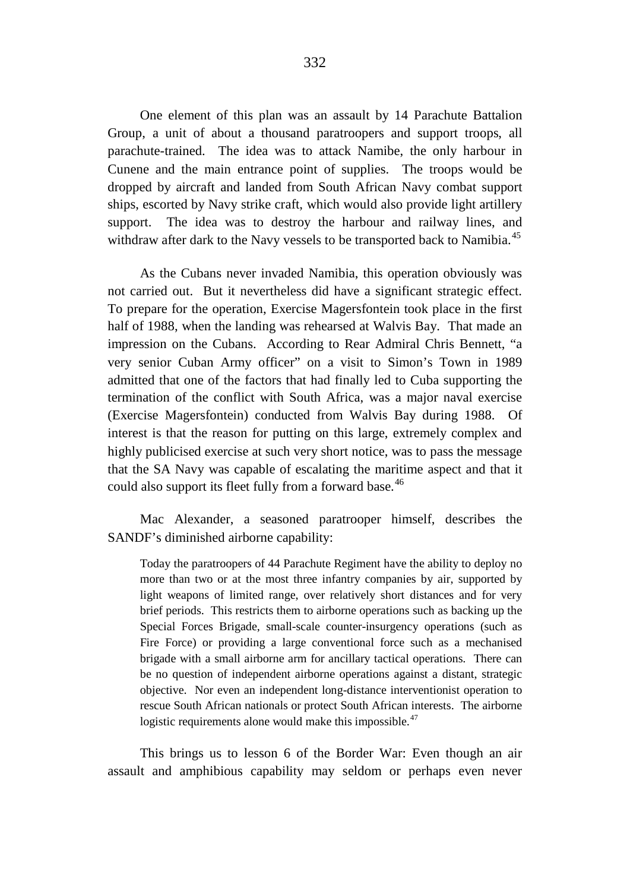One element of this plan was an assault by 14 Parachute Battalion Group, a unit of about a thousand paratroopers and support troops, all parachute-trained. The idea was to attack Namibe, the only harbour in Cunene and the main entrance point of supplies. The troops would be dropped by aircraft and landed from South African Navy combat support ships, escorted by Navy strike craft, which would also provide light artillery support. The idea was to destroy the harbour and railway lines, and withdraw after dark to the Navy vessels to be transported back to Namibia.<sup>[45](#page-33-13)</sup>

As the Cubans never invaded Namibia, this operation obviously was not carried out. But it nevertheless did have a significant strategic effect. To prepare for the operation, Exercise Magersfontein took place in the first half of 1988, when the landing was rehearsed at Walvis Bay. That made an impression on the Cubans. According to Rear Admiral Chris Bennett, "a very senior Cuban Army officer" on a visit to Simon's Town in 1989 admitted that one of the factors that had finally led to Cuba supporting the termination of the conflict with South Africa, was a major naval exercise (Exercise Magersfontein) conducted from Walvis Bay during 1988. Of interest is that the reason for putting on this large, extremely complex and highly publicised exercise at such very short notice, was to pass the message that the SA Navy was capable of escalating the maritime aspect and that it could also support its fleet fully from a forward base.<sup>[46](#page-33-14)</sup>

Mac Alexander, a seasoned paratrooper himself, describes the SANDF's diminished airborne capability:

Today the paratroopers of 44 Parachute Regiment have the ability to deploy no more than two or at the most three infantry companies by air, supported by light weapons of limited range, over relatively short distances and for very brief periods. This restricts them to airborne operations such as backing up the Special Forces Brigade, small-scale counter-insurgency operations (such as Fire Force) or providing a large conventional force such as a mechanised brigade with a small airborne arm for ancillary tactical operations. There can be no question of independent airborne operations against a distant, strategic objective. Nor even an independent long-distance interventionist operation to rescue South African nationals or protect South African interests. The airborne logistic requirements alone would make this impossible.<sup>[47](#page-33-15)</sup>

This brings us to lesson 6 of the Border War: Even though an air assault and amphibious capability may seldom or perhaps even never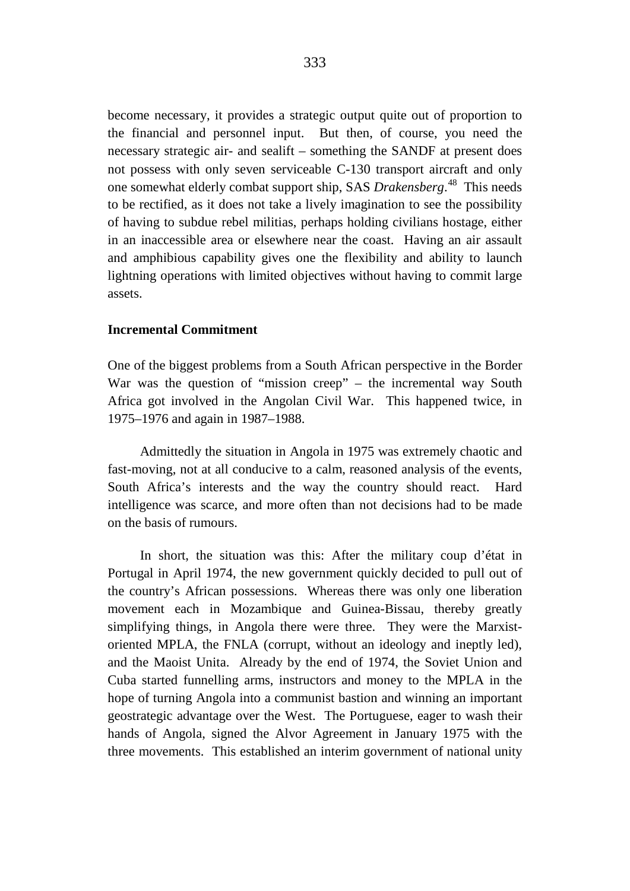become necessary, it provides a strategic output quite out of proportion to the financial and personnel input. But then, of course, you need the necessary strategic air- and sealift – something the SANDF at present does not possess with only seven serviceable C-130 transport aircraft and only one somewhat elderly combat support ship, SAS *Drakensberg*. [48](#page-33-16) This needs to be rectified, as it does not take a lively imagination to see the possibility of having to subdue rebel militias, perhaps holding civilians hostage, either in an inaccessible area or elsewhere near the coast. Having an air assault and amphibious capability gives one the flexibility and ability to launch lightning operations with limited objectives without having to commit large assets.

#### **Incremental Commitment**

One of the biggest problems from a South African perspective in the Border War was the question of "mission creep" – the incremental way South Africa got involved in the Angolan Civil War. This happened twice, in 1975–1976 and again in 1987–1988.

Admittedly the situation in Angola in 1975 was extremely chaotic and fast-moving, not at all conducive to a calm, reasoned analysis of the events, South Africa's interests and the way the country should react. Hard intelligence was scarce, and more often than not decisions had to be made on the basis of rumours.

In short, the situation was this: After the military coup d'état in Portugal in April 1974, the new government quickly decided to pull out of the country's African possessions. Whereas there was only one liberation movement each in Mozambique and Guinea-Bissau, thereby greatly simplifying things, in Angola there were three. They were the Marxistoriented MPLA, the FNLA (corrupt, without an ideology and ineptly led), and the Maoist Unita. Already by the end of 1974, the Soviet Union and Cuba started funnelling arms, instructors and money to the MPLA in the hope of turning Angola into a communist bastion and winning an important geostrategic advantage over the West. The Portuguese, eager to wash their hands of Angola, signed the Alvor Agreement in January 1975 with the three movements. This established an interim government of national unity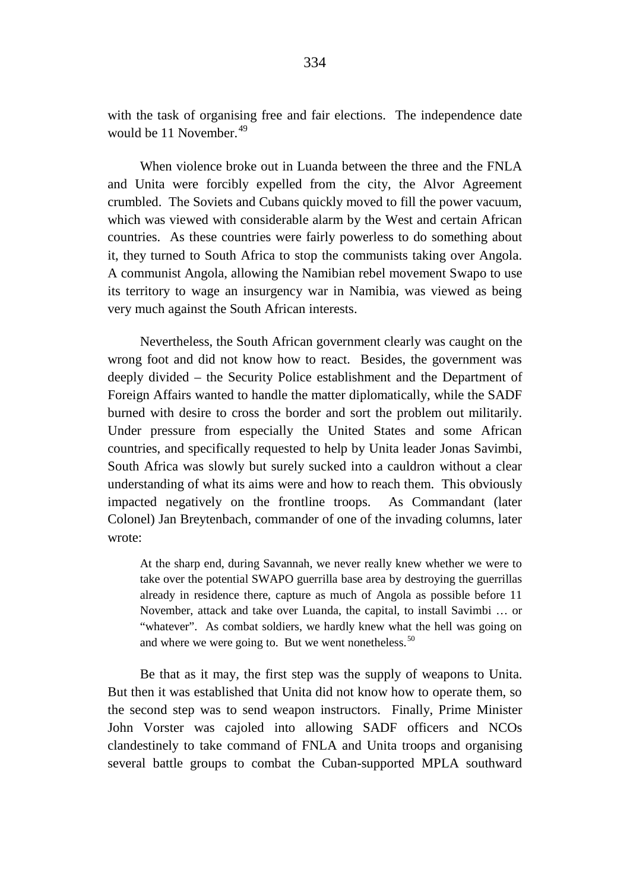with the task of organising free and fair elections. The independence date would be 11 November.<sup>[49](#page-33-17)</sup>

When violence broke out in Luanda between the three and the FNLA and Unita were forcibly expelled from the city, the Alvor Agreement crumbled. The Soviets and Cubans quickly moved to fill the power vacuum, which was viewed with considerable alarm by the West and certain African countries. As these countries were fairly powerless to do something about it, they turned to South Africa to stop the communists taking over Angola. A communist Angola, allowing the Namibian rebel movement Swapo to use its territory to wage an insurgency war in Namibia, was viewed as being very much against the South African interests.

Nevertheless, the South African government clearly was caught on the wrong foot and did not know how to react. Besides, the government was deeply divided – the Security Police establishment and the Department of Foreign Affairs wanted to handle the matter diplomatically, while the SADF burned with desire to cross the border and sort the problem out militarily. Under pressure from especially the United States and some African countries, and specifically requested to help by Unita leader Jonas Savimbi, South Africa was slowly but surely sucked into a cauldron without a clear understanding of what its aims were and how to reach them. This obviously impacted negatively on the frontline troops. As Commandant (later Colonel) Jan Breytenbach, commander of one of the invading columns, later wrote:

At the sharp end, during Savannah, we never really knew whether we were to take over the potential SWAPO guerrilla base area by destroying the guerrillas already in residence there, capture as much of Angola as possible before 11 November, attack and take over Luanda, the capital, to install Savimbi … or "whatever". As combat soldiers, we hardly knew what the hell was going on and where we were going to. But we went nonetheless.<sup>[50](#page-33-18)</sup>

Be that as it may, the first step was the supply of weapons to Unita. But then it was established that Unita did not know how to operate them, so the second step was to send weapon instructors. Finally, Prime Minister John Vorster was cajoled into allowing SADF officers and NCOs clandestinely to take command of FNLA and Unita troops and organising several battle groups to combat the Cuban-supported MPLA southward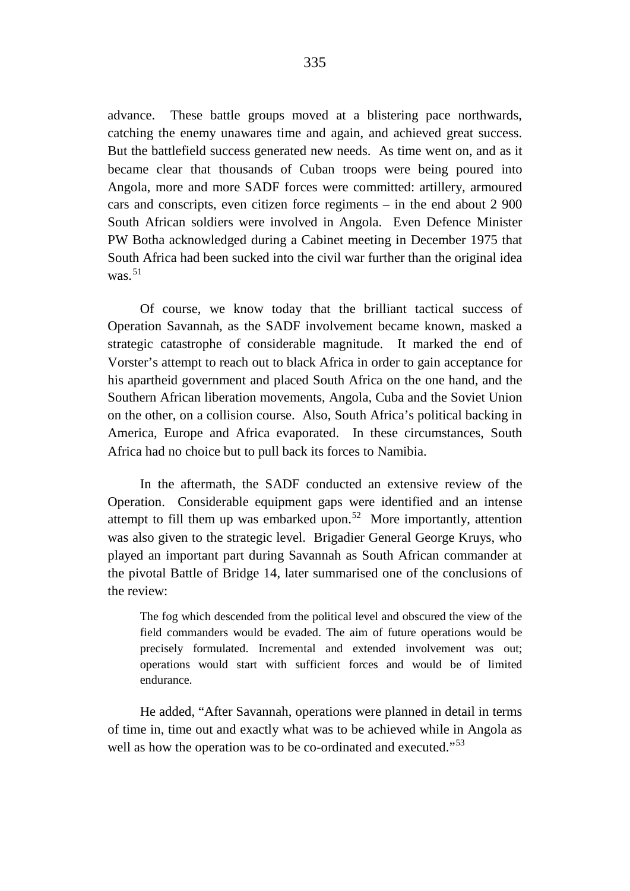advance. These battle groups moved at a blistering pace northwards, catching the enemy unawares time and again, and achieved great success. But the battlefield success generated new needs. As time went on, and as it became clear that thousands of Cuban troops were being poured into Angola, more and more SADF forces were committed: artillery, armoured cars and conscripts, even citizen force regiments – in the end about 2 900 South African soldiers were involved in Angola. Even Defence Minister PW Botha acknowledged during a Cabinet meeting in December 1975 that South Africa had been sucked into the civil war further than the original idea was. $51$ 

Of course, we know today that the brilliant tactical success of Operation Savannah, as the SADF involvement became known, masked a strategic catastrophe of considerable magnitude. It marked the end of Vorster's attempt to reach out to black Africa in order to gain acceptance for his apartheid government and placed South Africa on the one hand, and the Southern African liberation movements, Angola, Cuba and the Soviet Union on the other, on a collision course. Also, South Africa's political backing in America, Europe and Africa evaporated. In these circumstances, South Africa had no choice but to pull back its forces to Namibia.

In the aftermath, the SADF conducted an extensive review of the Operation. Considerable equipment gaps were identified and an intense attempt to fill them up was embarked upon.<sup>[52](#page-33-20)</sup> More importantly, attention was also given to the strategic level. Brigadier General George Kruys, who played an important part during Savannah as South African commander at the pivotal Battle of Bridge 14, later summarised one of the conclusions of the review:

The fog which descended from the political level and obscured the view of the field commanders would be evaded. The aim of future operations would be precisely formulated. Incremental and extended involvement was out; operations would start with sufficient forces and would be of limited endurance.

He added, "After Savannah, operations were planned in detail in terms of time in, time out and exactly what was to be achieved while in Angola as well as how the operation was to be co-ordinated and executed."<sup>[53](#page-33-21)</sup>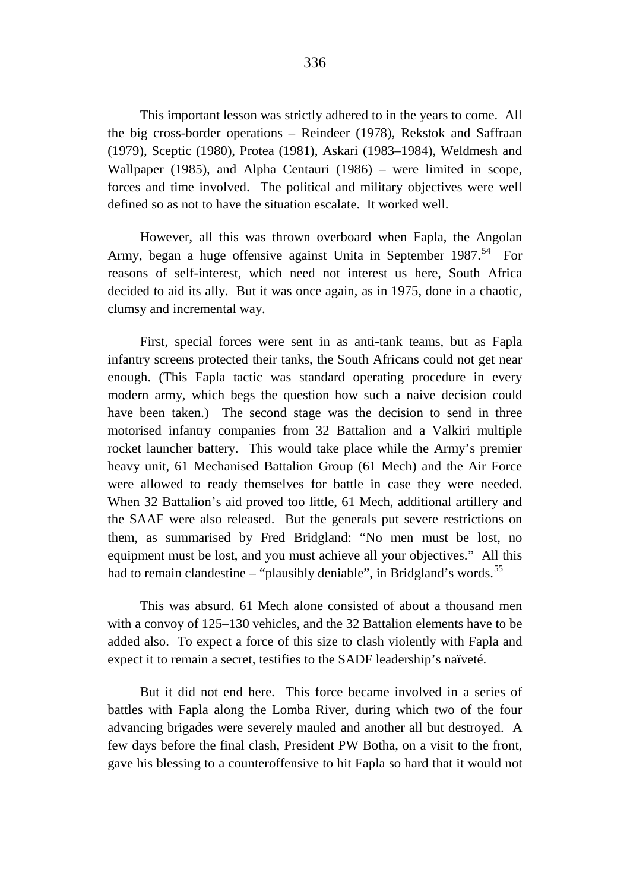This important lesson was strictly adhered to in the years to come. All the big cross-border operations – Reindeer (1978), Rekstok and Saffraan (1979), Sceptic (1980), Protea (1981), Askari (1983–1984), Weldmesh and Wallpaper (1985), and Alpha Centauri (1986) – were limited in scope, forces and time involved. The political and military objectives were well defined so as not to have the situation escalate. It worked well.

However, all this was thrown overboard when Fapla, the Angolan Army, began a huge offensive against Unita in September  $1987^{54}$  For reasons of self-interest, which need not interest us here, South Africa decided to aid its ally. But it was once again, as in 1975, done in a chaotic, clumsy and incremental way.

First, special forces were sent in as anti-tank teams, but as Fapla infantry screens protected their tanks, the South Africans could not get near enough. (This Fapla tactic was standard operating procedure in every modern army, which begs the question how such a naive decision could have been taken.) The second stage was the decision to send in three motorised infantry companies from 32 Battalion and a Valkiri multiple rocket launcher battery. This would take place while the Army's premier heavy unit, 61 Mechanised Battalion Group (61 Mech) and the Air Force were allowed to ready themselves for battle in case they were needed. When 32 Battalion's aid proved too little, 61 Mech, additional artillery and the SAAF were also released. But the generals put severe restrictions on them, as summarised by Fred Bridgland: "No men must be lost, no equipment must be lost, and you must achieve all your objectives." All this had to remain clandestine – "plausibly deniable", in Bridgland's words.<sup>[55](#page-33-23)</sup>

This was absurd. 61 Mech alone consisted of about a thousand men with a convoy of 125–130 vehicles, and the 32 Battalion elements have to be added also. To expect a force of this size to clash violently with Fapla and expect it to remain a secret, testifies to the SADF leadership's naïveté.

But it did not end here. This force became involved in a series of battles with Fapla along the Lomba River, during which two of the four advancing brigades were severely mauled and another all but destroyed. A few days before the final clash, President PW Botha, on a visit to the front, gave his blessing to a counteroffensive to hit Fapla so hard that it would not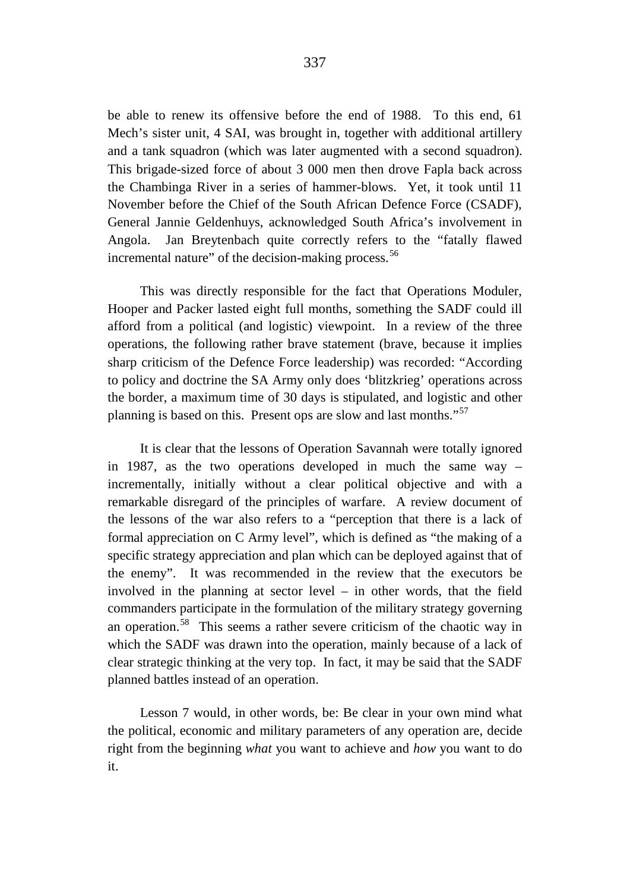be able to renew its offensive before the end of 1988. To this end, 61 Mech's sister unit, 4 SAI, was brought in, together with additional artillery and a tank squadron (which was later augmented with a second squadron). This brigade-sized force of about 3 000 men then drove Fapla back across the Chambinga River in a series of hammer-blows. Yet, it took until 11 November before the Chief of the South African Defence Force (CSADF), General Jannie Geldenhuys, acknowledged South Africa's involvement in Angola. Jan Breytenbach quite correctly refers to the "fatally flawed incremental nature" of the decision-making process.<sup>[56](#page-33-24)</sup>

This was directly responsible for the fact that Operations Moduler, Hooper and Packer lasted eight full months, something the SADF could ill afford from a political (and logistic) viewpoint. In a review of the three operations, the following rather brave statement (brave, because it implies sharp criticism of the Defence Force leadership) was recorded: "According to policy and doctrine the SA Army only does 'blitzkrieg' operations across the border, a maximum time of 30 days is stipulated, and logistic and other planning is based on this. Present ops are slow and last months."[57](#page-33-25)

It is clear that the lessons of Operation Savannah were totally ignored in 1987, as the two operations developed in much the same way – incrementally, initially without a clear political objective and with a remarkable disregard of the principles of warfare. A review document of the lessons of the war also refers to a "perception that there is a lack of formal appreciation on C Army level", which is defined as "the making of a specific strategy appreciation and plan which can be deployed against that of the enemy". It was recommended in the review that the executors be involved in the planning at sector level – in other words, that the field commanders participate in the formulation of the military strategy governing an operation.[58](#page-33-26) This seems a rather severe criticism of the chaotic way in which the SADF was drawn into the operation, mainly because of a lack of clear strategic thinking at the very top. In fact, it may be said that the SADF planned battles instead of an operation.

Lesson 7 would, in other words, be: Be clear in your own mind what the political, economic and military parameters of any operation are, decide right from the beginning *what* you want to achieve and *how* you want to do it.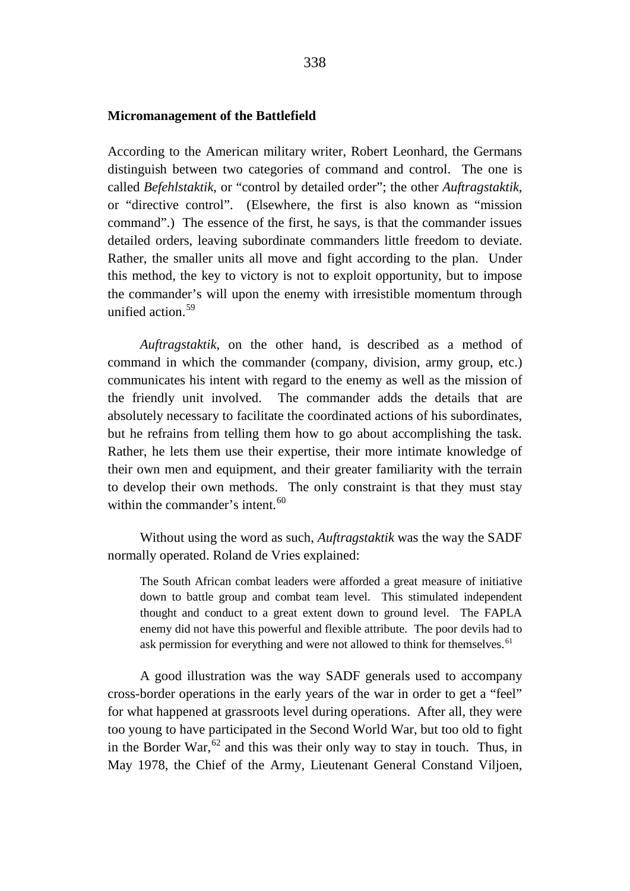## **Micromanagement of the Battlefield**

According to the American military writer, Robert Leonhard, the Germans distinguish between two categories of command and control. The one is called *Befehlstaktik*, or "control by detailed order"; the other *Auftragstaktik*, or "directive control". (Elsewhere, the first is also known as "mission command".) The essence of the first, he says, is that the commander issues detailed orders, leaving subordinate commanders little freedom to deviate. Rather, the smaller units all move and fight according to the plan. Under this method, the key to victory is not to exploit opportunity, but to impose the commander's will upon the enemy with irresistible momentum through unified action.<sup>[59](#page-33-27)</sup>

*Auftragstaktik*, on the other hand, is described as a method of command in which the commander (company, division, army group, etc.) communicates his intent with regard to the enemy as well as the mission of the friendly unit involved. The commander adds the details that are absolutely necessary to facilitate the coordinated actions of his subordinates, but he refrains from telling them how to go about accomplishing the task. Rather, he lets them use their expertise, their more intimate knowledge of their own men and equipment, and their greater familiarity with the terrain to develop their own methods. The only constraint is that they must stay within the commander's intent.<sup>[60](#page-33-28)</sup>

Without using the word as such, *Auftragstaktik* was the way the SADF normally operated. Roland de Vries explained:

The South African combat leaders were afforded a great measure of initiative down to battle group and combat team level. This stimulated independent thought and conduct to a great extent down to ground level. The FAPLA enemy did not have this powerful and flexible attribute. The poor devils had to ask permission for everything and were not allowed to think for themselves.<sup>[61](#page-34-0)</sup>

A good illustration was the way SADF generals used to accompany cross-border operations in the early years of the war in order to get a "feel" for what happened at grassroots level during operations. After all, they were too young to have participated in the Second World War, but too old to fight in the Border War,  $62$  and this was their only way to stay in touch. Thus, in May 1978, the Chief of the Army, Lieutenant General Constand Viljoen,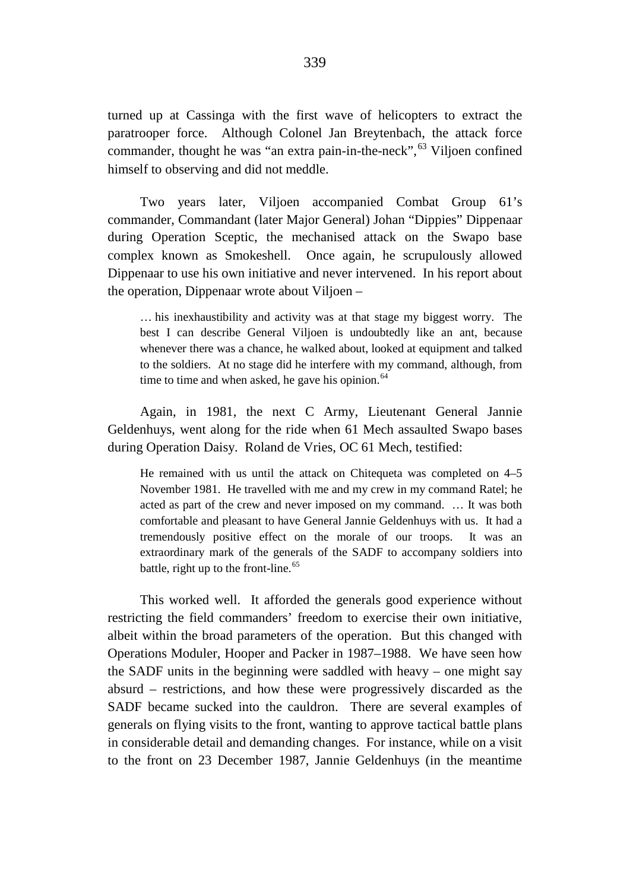turned up at Cassinga with the first wave of helicopters to extract the paratrooper force. Although Colonel Jan Breytenbach, the attack force commander, thought he was "an extra pain-in-the-neck",  $63$  Viljoen confined himself to observing and did not meddle.

Two years later, Viljoen accompanied Combat Group 61's commander, Commandant (later Major General) Johan "Dippies" Dippenaar during Operation Sceptic, the mechanised attack on the Swapo base complex known as Smokeshell. Once again, he scrupulously allowed Dippenaar to use his own initiative and never intervened. In his report about the operation, Dippenaar wrote about Viljoen –

… his inexhaustibility and activity was at that stage my biggest worry. The best I can describe General Viljoen is undoubtedly like an ant, because whenever there was a chance, he walked about, looked at equipment and talked to the soldiers. At no stage did he interfere with my command, although, from time to time and when asked, he gave his opinion. $64$ 

Again, in 1981, the next C Army, Lieutenant General Jannie Geldenhuys, went along for the ride when 61 Mech assaulted Swapo bases during Operation Daisy. Roland de Vries, OC 61 Mech, testified:

He remained with us until the attack on Chitequeta was completed on 4–5 November 1981. He travelled with me and my crew in my command Ratel; he acted as part of the crew and never imposed on my command. … It was both comfortable and pleasant to have General Jannie Geldenhuys with us. It had a tremendously positive effect on the morale of our troops. It was an extraordinary mark of the generals of the SADF to accompany soldiers into battle, right up to the front-line.<sup>[65](#page-34-4)</sup>

This worked well. It afforded the generals good experience without restricting the field commanders' freedom to exercise their own initiative, albeit within the broad parameters of the operation. But this changed with Operations Moduler, Hooper and Packer in 1987–1988. We have seen how the SADF units in the beginning were saddled with heavy – one might say absurd – restrictions, and how these were progressively discarded as the SADF became sucked into the cauldron. There are several examples of generals on flying visits to the front, wanting to approve tactical battle plans in considerable detail and demanding changes. For instance, while on a visit to the front on 23 December 1987, Jannie Geldenhuys (in the meantime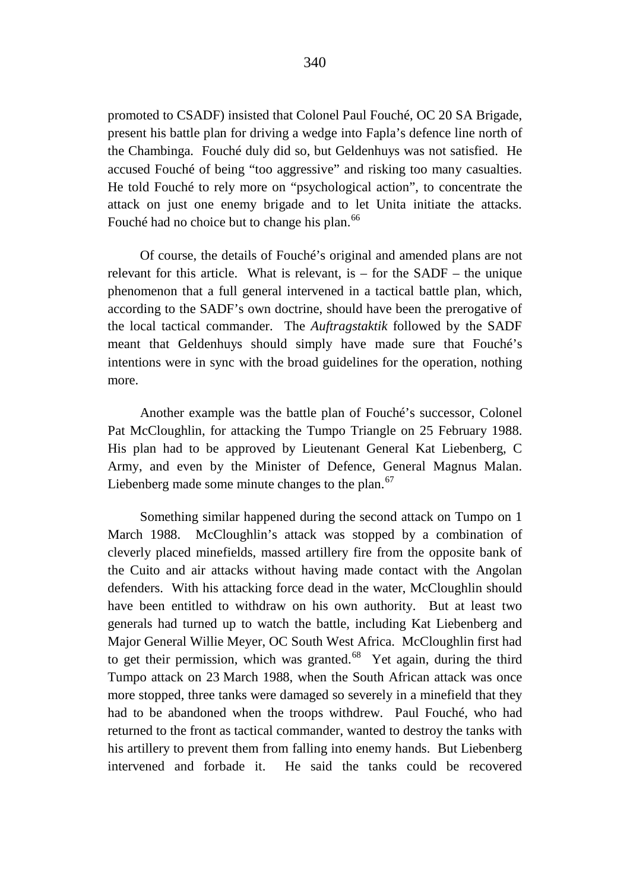promoted to CSADF) insisted that Colonel Paul Fouché, OC 20 SA Brigade, present his battle plan for driving a wedge into Fapla's defence line north of the Chambinga. Fouché duly did so, but Geldenhuys was not satisfied. He accused Fouché of being "too aggressive" and risking too many casualties. He told Fouché to rely more on "psychological action", to concentrate the attack on just one enemy brigade and to let Unita initiate the attacks. Fouché had no choice but to change his plan.<sup>[66](#page-34-5)</sup>

Of course, the details of Fouché's original and amended plans are not relevant for this article. What is relevant, is  $-$  for the SADF  $-$  the unique phenomenon that a full general intervened in a tactical battle plan, which, according to the SADF's own doctrine, should have been the prerogative of the local tactical commander. The *Auftragstaktik* followed by the SADF meant that Geldenhuys should simply have made sure that Fouché's intentions were in sync with the broad guidelines for the operation, nothing more.

Another example was the battle plan of Fouché's successor, Colonel Pat McCloughlin, for attacking the Tumpo Triangle on 25 February 1988. His plan had to be approved by Lieutenant General Kat Liebenberg, C Army, and even by the Minister of Defence, General Magnus Malan. Liebenberg made some minute changes to the plan.<sup>[67](#page-34-6)</sup>

Something similar happened during the second attack on Tumpo on 1 March 1988. McCloughlin's attack was stopped by a combination of cleverly placed minefields, massed artillery fire from the opposite bank of the Cuito and air attacks without having made contact with the Angolan defenders. With his attacking force dead in the water, McCloughlin should have been entitled to withdraw on his own authority. But at least two generals had turned up to watch the battle, including Kat Liebenberg and Major General Willie Meyer, OC South West Africa. McCloughlin first had to get their permission, which was granted.<sup>[68](#page-34-7)</sup> Yet again, during the third Tumpo attack on 23 March 1988, when the South African attack was once more stopped, three tanks were damaged so severely in a minefield that they had to be abandoned when the troops withdrew. Paul Fouché, who had returned to the front as tactical commander, wanted to destroy the tanks with his artillery to prevent them from falling into enemy hands. But Liebenberg intervened and forbade it. He said the tanks could be recovered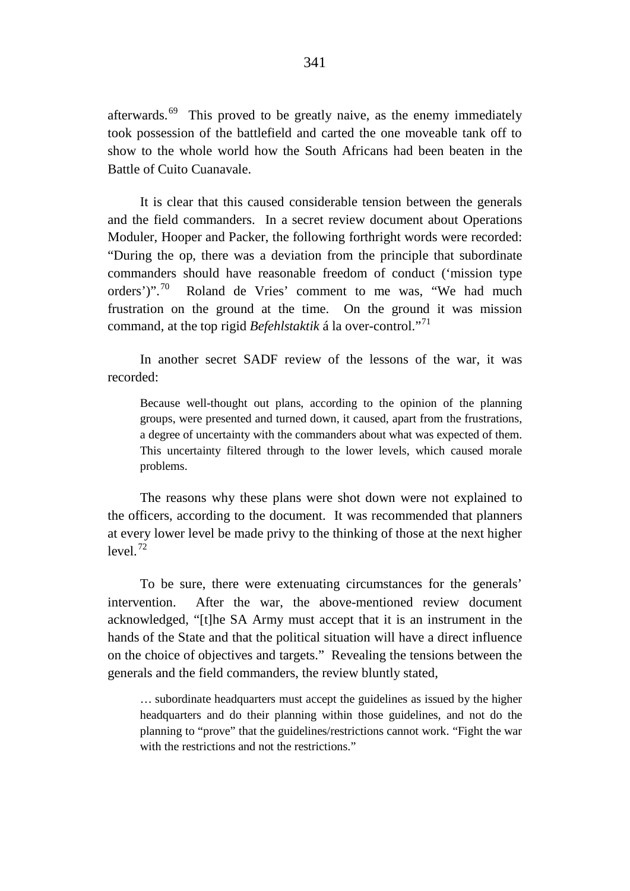afterwards. $69$  This proved to be greatly naive, as the enemy immediately took possession of the battlefield and carted the one moveable tank off to show to the whole world how the South Africans had been beaten in the Battle of Cuito Cuanavale.

It is clear that this caused considerable tension between the generals and the field commanders. In a secret review document about Operations Moduler, Hooper and Packer, the following forthright words were recorded: "During the op, there was a deviation from the principle that subordinate commanders should have reasonable freedom of conduct ('mission type orders')".[70](#page-34-9) Roland de Vries' comment to me was, "We had much frustration on the ground at the time. On the ground it was mission command, at the top rigid *Befehlstaktik* á la over-control."[71](#page-34-10)

In another secret SADF review of the lessons of the war, it was recorded:

Because well-thought out plans, according to the opinion of the planning groups, were presented and turned down, it caused, apart from the frustrations, a degree of uncertainty with the commanders about what was expected of them. This uncertainty filtered through to the lower levels, which caused morale problems.

The reasons why these plans were shot down were not explained to the officers, according to the document. It was recommended that planners at every lower level be made privy to the thinking of those at the next higher  $l$ <sub>avel</sub> $12$ 

To be sure, there were extenuating circumstances for the generals' intervention. After the war, the above-mentioned review document acknowledged, "[t]he SA Army must accept that it is an instrument in the hands of the State and that the political situation will have a direct influence on the choice of objectives and targets." Revealing the tensions between the generals and the field commanders, the review bluntly stated,

… subordinate headquarters must accept the guidelines as issued by the higher headquarters and do their planning within those guidelines, and not do the planning to "prove" that the guidelines/restrictions cannot work. "Fight the war with the restrictions and not the restrictions."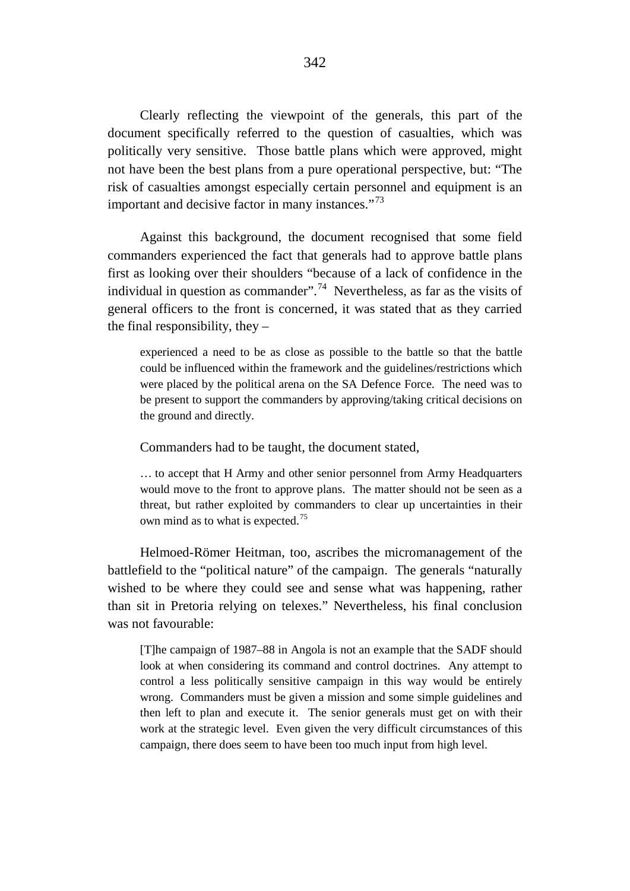Clearly reflecting the viewpoint of the generals, this part of the document specifically referred to the question of casualties, which was politically very sensitive. Those battle plans which were approved, might not have been the best plans from a pure operational perspective, but: "The risk of casualties amongst especially certain personnel and equipment is an important and decisive factor in many instances."<sup>[73](#page-34-12)</sup>

Against this background, the document recognised that some field commanders experienced the fact that generals had to approve battle plans first as looking over their shoulders "because of a lack of confidence in the individual in question as commander".<sup>[74](#page-34-13)</sup> Nevertheless, as far as the visits of general officers to the front is concerned, it was stated that as they carried the final responsibility, they –

experienced a need to be as close as possible to the battle so that the battle could be influenced within the framework and the guidelines/restrictions which were placed by the political arena on the SA Defence Force. The need was to be present to support the commanders by approving/taking critical decisions on the ground and directly.

Commanders had to be taught, the document stated,

… to accept that H Army and other senior personnel from Army Headquarters would move to the front to approve plans. The matter should not be seen as a threat, but rather exploited by commanders to clear up uncertainties in their own mind as to what is expected.<sup>[75](#page-34-14)</sup>

Helmoed-Römer Heitman, too, ascribes the micromanagement of the battlefield to the "political nature" of the campaign. The generals "naturally wished to be where they could see and sense what was happening, rather than sit in Pretoria relying on telexes." Nevertheless, his final conclusion was not favourable:

[T]he campaign of 1987–88 in Angola is not an example that the SADF should look at when considering its command and control doctrines. Any attempt to control a less politically sensitive campaign in this way would be entirely wrong. Commanders must be given a mission and some simple guidelines and then left to plan and execute it. The senior generals must get on with their work at the strategic level. Even given the very difficult circumstances of this campaign, there does seem to have been too much input from high level.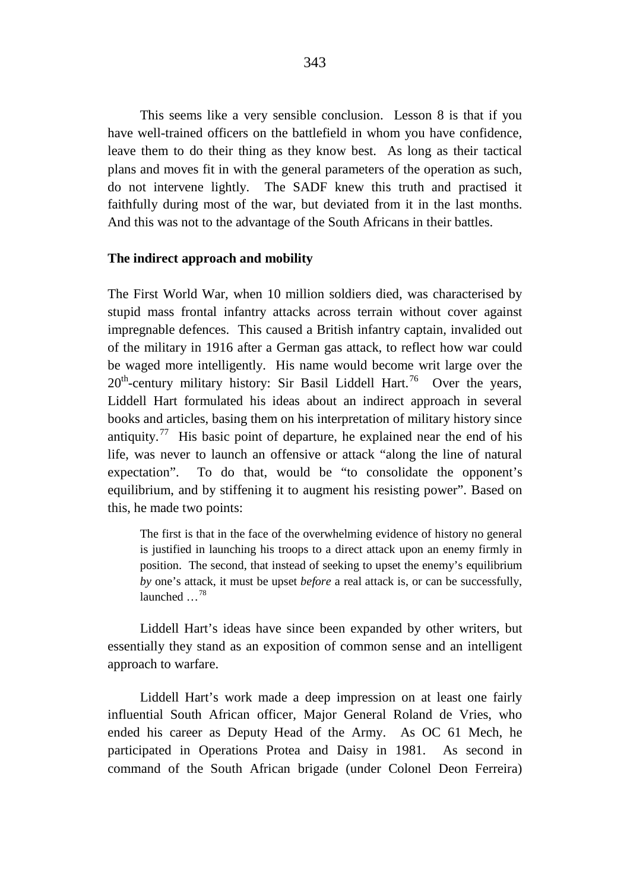This seems like a very sensible conclusion. Lesson 8 is that if you have well-trained officers on the battlefield in whom you have confidence, leave them to do their thing as they know best. As long as their tactical plans and moves fit in with the general parameters of the operation as such, do not intervene lightly. The SADF knew this truth and practised it faithfully during most of the war, but deviated from it in the last months. And this was not to the advantage of the South Africans in their battles.

## **The indirect approach and mobility**

The First World War, when 10 million soldiers died, was characterised by stupid mass frontal infantry attacks across terrain without cover against impregnable defences. This caused a British infantry captain, invalided out of the military in 1916 after a German gas attack, to reflect how war could be waged more intelligently. His name would become writ large over the 20<sup>th</sup>-century military history: Sir Basil Liddell Hart.<sup>76</sup> Over the years, Liddell Hart formulated his ideas about an indirect approach in several books and articles, basing them on his interpretation of military history since antiquity.<sup>77</sup> His basic point of departure, he explained near the end of his life, was never to launch an offensive or attack "along the line of natural expectation". To do that, would be "to consolidate the opponent's equilibrium, and by stiffening it to augment his resisting power". Based on this, he made two points:

The first is that in the face of the overwhelming evidence of history no general is justified in launching his troops to a direct attack upon an enemy firmly in position. The second, that instead of seeking to upset the enemy's equilibrium *by* one's attack, it must be upset *before* a real attack is, or can be successfully, launched …[78](#page-34-17)

Liddell Hart's ideas have since been expanded by other writers, but essentially they stand as an exposition of common sense and an intelligent approach to warfare.

Liddell Hart's work made a deep impression on at least one fairly influential South African officer, Major General Roland de Vries, who ended his career as Deputy Head of the Army. As OC 61 Mech, he participated in Operations Protea and Daisy in 1981. As second in command of the South African brigade (under Colonel Deon Ferreira)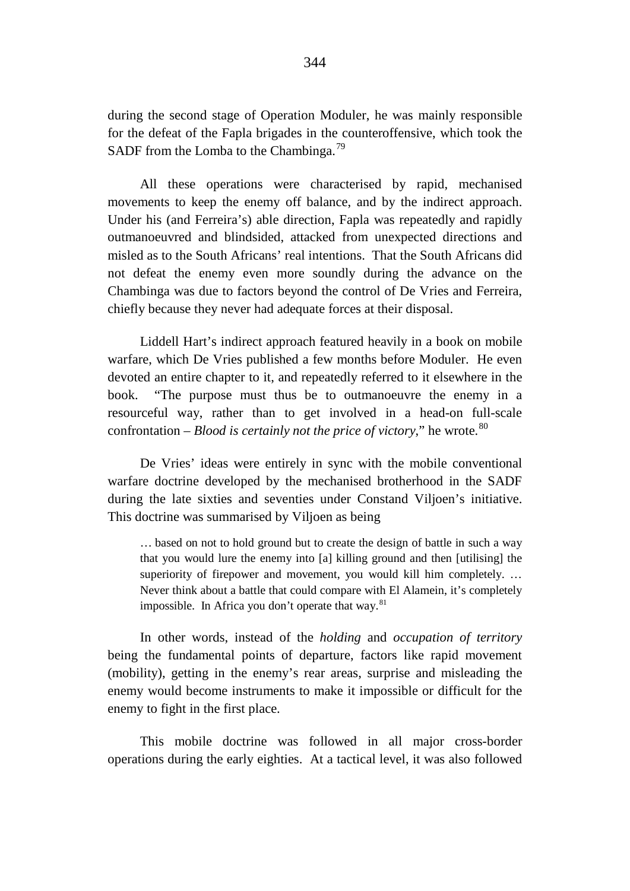during the second stage of Operation Moduler, he was mainly responsible for the defeat of the Fapla brigades in the counteroffensive, which took the SADF from the Lomba to the Chambinga.<sup>[79](#page-34-18)</sup>

All these operations were characterised by rapid, mechanised movements to keep the enemy off balance, and by the indirect approach. Under his (and Ferreira's) able direction, Fapla was repeatedly and rapidly outmanoeuvred and blindsided, attacked from unexpected directions and misled as to the South Africans' real intentions. That the South Africans did not defeat the enemy even more soundly during the advance on the Chambinga was due to factors beyond the control of De Vries and Ferreira, chiefly because they never had adequate forces at their disposal.

Liddell Hart's indirect approach featured heavily in a book on mobile warfare, which De Vries published a few months before Moduler. He even devoted an entire chapter to it, and repeatedly referred to it elsewhere in the book. "The purpose must thus be to outmanoeuvre the enemy in a resourceful way, rather than to get involved in a head-on full-scale confrontation – *Blood is certainly not the price of victory*," he wrote.<sup>[80](#page-34-19)</sup>

De Vries' ideas were entirely in sync with the mobile conventional warfare doctrine developed by the mechanised brotherhood in the SADF during the late sixties and seventies under Constand Viljoen's initiative. This doctrine was summarised by Viljoen as being

… based on not to hold ground but to create the design of battle in such a way that you would lure the enemy into [a] killing ground and then [utilising] the superiority of firepower and movement, you would kill him completely. ... Never think about a battle that could compare with El Alamein, it's completely impossible. In Africa you don't operate that way.<sup>[81](#page-34-20)</sup>

In other words, instead of the *holding* and *occupation of territory* being the fundamental points of departure, factors like rapid movement (mobility), getting in the enemy's rear areas, surprise and misleading the enemy would become instruments to make it impossible or difficult for the enemy to fight in the first place.

This mobile doctrine was followed in all major cross-border operations during the early eighties. At a tactical level, it was also followed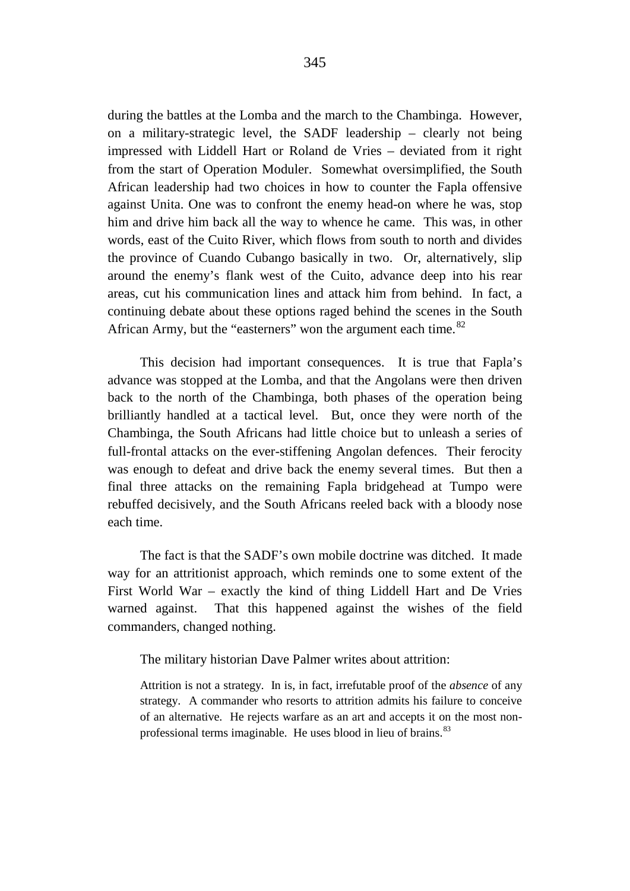during the battles at the Lomba and the march to the Chambinga. However, on a military-strategic level, the SADF leadership – clearly not being impressed with Liddell Hart or Roland de Vries – deviated from it right from the start of Operation Moduler. Somewhat oversimplified, the South African leadership had two choices in how to counter the Fapla offensive against Unita. One was to confront the enemy head-on where he was, stop him and drive him back all the way to whence he came. This was, in other words, east of the Cuito River, which flows from south to north and divides the province of Cuando Cubango basically in two. Or, alternatively, slip around the enemy's flank west of the Cuito, advance deep into his rear areas, cut his communication lines and attack him from behind. In fact, a continuing debate about these options raged behind the scenes in the South African Army, but the "easterners" won the argument each time.<sup>[82](#page-34-21)</sup>

This decision had important consequences. It is true that Fapla's advance was stopped at the Lomba, and that the Angolans were then driven back to the north of the Chambinga, both phases of the operation being brilliantly handled at a tactical level. But, once they were north of the Chambinga, the South Africans had little choice but to unleash a series of full-frontal attacks on the ever-stiffening Angolan defences. Their ferocity was enough to defeat and drive back the enemy several times. But then a final three attacks on the remaining Fapla bridgehead at Tumpo were rebuffed decisively, and the South Africans reeled back with a bloody nose each time.

The fact is that the SADF's own mobile doctrine was ditched. It made way for an attritionist approach, which reminds one to some extent of the First World War – exactly the kind of thing Liddell Hart and De Vries warned against. That this happened against the wishes of the field commanders, changed nothing.

The military historian Dave Palmer writes about attrition:

Attrition is not a strategy. In is, in fact, irrefutable proof of the *absence* of any strategy. A commander who resorts to attrition admits his failure to conceive of an alternative. He rejects warfare as an art and accepts it on the most non-professional terms imaginable. He uses blood in lieu of brains.<sup>[83](#page-34-22)</sup>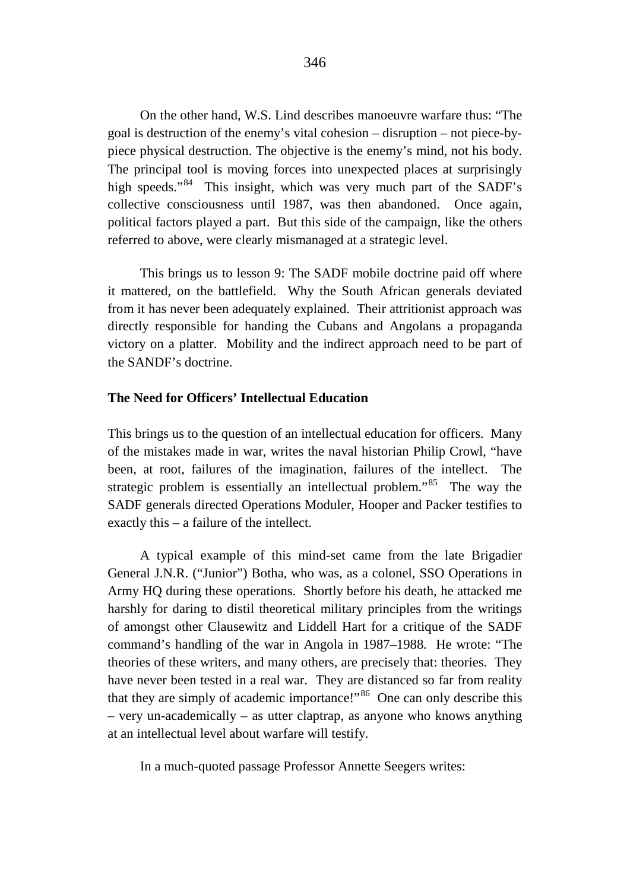On the other hand, W.S. Lind describes manoeuvre warfare thus: "The goal is destruction of the enemy's vital cohesion – disruption – not piece-bypiece physical destruction. The objective is the enemy's mind, not his body. The principal tool is moving forces into unexpected places at surprisingly high speeds."<sup>84</sup> This insight, which was very much part of the SADF's collective consciousness until 1987, was then abandoned. Once again, political factors played a part. But this side of the campaign, like the others referred to above, were clearly mismanaged at a strategic level.

This brings us to lesson 9: The SADF mobile doctrine paid off where it mattered, on the battlefield. Why the South African generals deviated from it has never been adequately explained. Their attritionist approach was directly responsible for handing the Cubans and Angolans a propaganda victory on a platter. Mobility and the indirect approach need to be part of the SANDF's doctrine.

#### **The Need for Officers' Intellectual Education**

This brings us to the question of an intellectual education for officers. Many of the mistakes made in war, writes the naval historian Philip Crowl, "have been, at root, failures of the imagination, failures of the intellect. The strategic problem is essentially an intellectual problem.<sup>[85](#page-34-24)</sup> The way the SADF generals directed Operations Moduler, Hooper and Packer testifies to exactly this – a failure of the intellect.

A typical example of this mind-set came from the late Brigadier General J.N.R. ("Junior") Botha, who was, as a colonel, SSO Operations in Army HQ during these operations. Shortly before his death, he attacked me harshly for daring to distil theoretical military principles from the writings of amongst other Clausewitz and Liddell Hart for a critique of the SADF command's handling of the war in Angola in 1987–1988. He wrote: "The theories of these writers, and many others, are precisely that: theories. They have never been tested in a real war. They are distanced so far from reality that they are simply of academic importance!"<sup>[86](#page-34-25)</sup> One can only describe this – very un-academically – as utter claptrap, as anyone who knows anything at an intellectual level about warfare will testify.

In a much-quoted passage Professor Annette Seegers writes: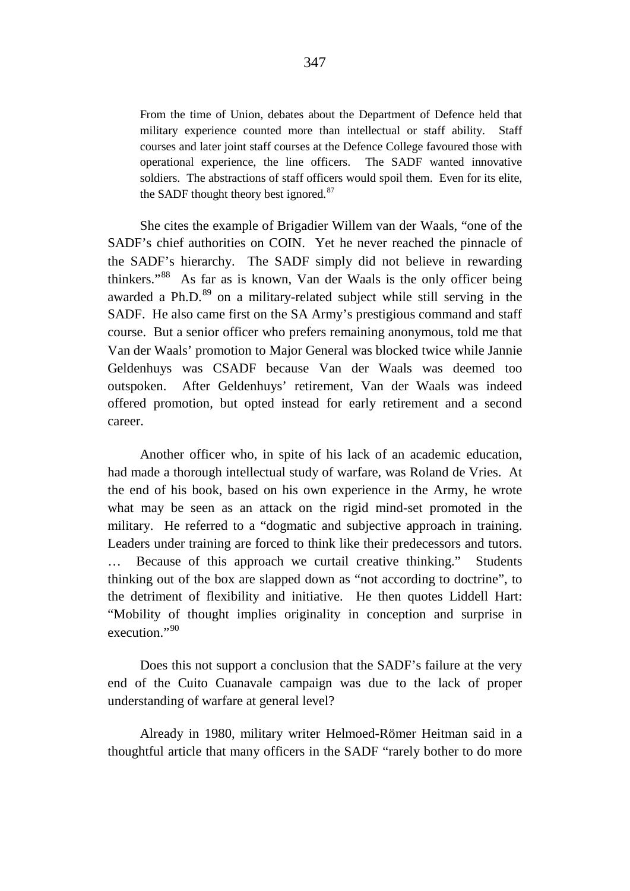From the time of Union, debates about the Department of Defence held that military experience counted more than intellectual or staff ability. Staff courses and later joint staff courses at the Defence College favoured those with operational experience, the line officers. The SADF wanted innovative soldiers. The abstractions of staff officers would spoil them. Even for its elite, the SADF thought theory best ignored.<sup>[87](#page-34-26)</sup>

She cites the example of Brigadier Willem van der Waals, "one of the SADF's chief authorities on COIN. Yet he never reached the pinnacle of the SADF's hierarchy. The SADF simply did not believe in rewarding thinkers."[88](#page-34-27) As far as is known, Van der Waals is the only officer being awarded a Ph.D. $89$  on a military-related subject while still serving in the SADF. He also came first on the SA Army's prestigious command and staff course. But a senior officer who prefers remaining anonymous, told me that Van der Waals' promotion to Major General was blocked twice while Jannie Geldenhuys was CSADF because Van der Waals was deemed too outspoken. After Geldenhuys' retirement, Van der Waals was indeed offered promotion, but opted instead for early retirement and a second career.

Another officer who, in spite of his lack of an academic education, had made a thorough intellectual study of warfare, was Roland de Vries. At the end of his book, based on his own experience in the Army, he wrote what may be seen as an attack on the rigid mind-set promoted in the military. He referred to a "dogmatic and subjective approach in training. Leaders under training are forced to think like their predecessors and tutors. … Because of this approach we curtail creative thinking." Students thinking out of the box are slapped down as "not according to doctrine", to the detriment of flexibility and initiative. He then quotes Liddell Hart: "Mobility of thought implies originality in conception and surprise in execution."[90](#page-35-1)

Does this not support a conclusion that the SADF's failure at the very end of the Cuito Cuanavale campaign was due to the lack of proper understanding of warfare at general level?

Already in 1980, military writer Helmoed-Römer Heitman said in a thoughtful article that many officers in the SADF "rarely bother to do more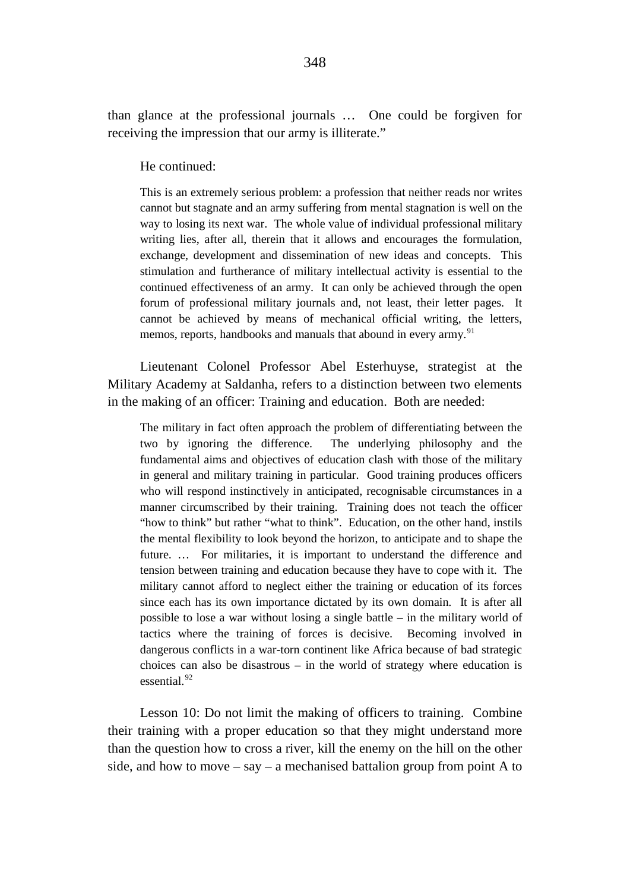than glance at the professional journals … One could be forgiven for receiving the impression that our army is illiterate."

He continued:

This is an extremely serious problem: a profession that neither reads nor writes cannot but stagnate and an army suffering from mental stagnation is well on the way to losing its next war. The whole value of individual professional military writing lies, after all, therein that it allows and encourages the formulation, exchange, development and dissemination of new ideas and concepts. This stimulation and furtherance of military intellectual activity is essential to the continued effectiveness of an army. It can only be achieved through the open forum of professional military journals and, not least, their letter pages. It cannot be achieved by means of mechanical official writing, the letters, memos, reports, handbooks and manuals that abound in every army.<sup>[91](#page-35-2)</sup>

Lieutenant Colonel Professor Abel Esterhuyse, strategist at the Military Academy at Saldanha, refers to a distinction between two elements in the making of an officer: Training and education. Both are needed:

The military in fact often approach the problem of differentiating between the two by ignoring the difference. The underlying philosophy and the fundamental aims and objectives of education clash with those of the military in general and military training in particular. Good training produces officers who will respond instinctively in anticipated, recognisable circumstances in a manner circumscribed by their training. Training does not teach the officer "how to think" but rather "what to think". Education, on the other hand, instils the mental flexibility to look beyond the horizon, to anticipate and to shape the future. … For militaries, it is important to understand the difference and tension between training and education because they have to cope with it. The military cannot afford to neglect either the training or education of its forces since each has its own importance dictated by its own domain. It is after all possible to lose a war without losing a single battle – in the military world of tactics where the training of forces is decisive. Becoming involved in dangerous conflicts in a war-torn continent like Africa because of bad strategic choices can also be disastrous – in the world of strategy where education is essential.<sup>[92](#page-35-3)</sup>

Lesson 10: Do not limit the making of officers to training. Combine their training with a proper education so that they might understand more than the question how to cross a river, kill the enemy on the hill on the other side, and how to move – say – a mechanised battalion group from point A to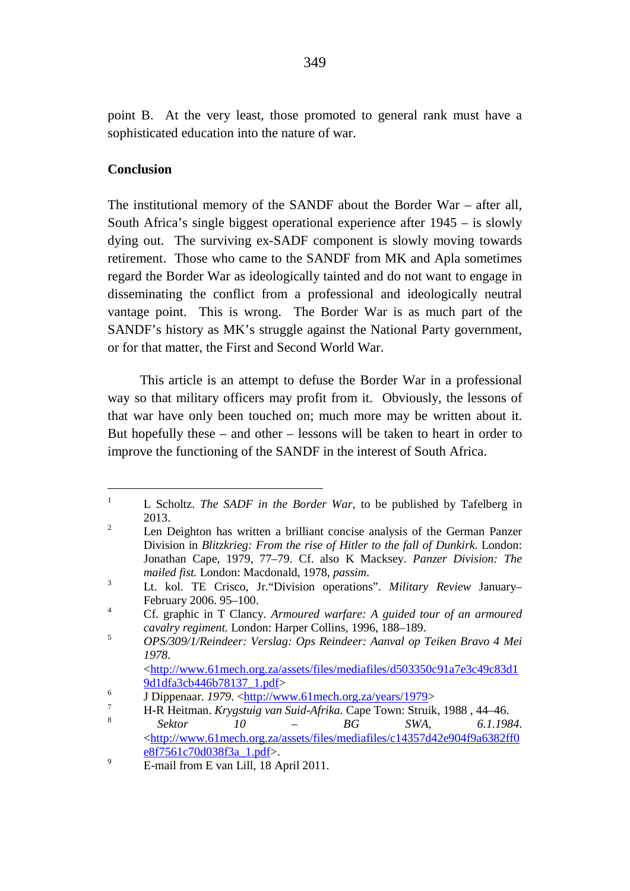<span id="page-31-8"></span><span id="page-31-7"></span><span id="page-31-6"></span><span id="page-31-5"></span><span id="page-31-4"></span><span id="page-31-3"></span><span id="page-31-2"></span><span id="page-31-1"></span><span id="page-31-0"></span>point B. At the very least, those promoted to general rank must have a sophisticated education into the nature of war.

## **Conclusion**

The institutional memory of the SANDF about the Border War – after all, South Africa's single biggest operational experience after 1945 – is slowly dying out. The surviving ex-SADF component is slowly moving towards retirement. Those who came to the SANDF from MK and Apla sometimes regard the Border War as ideologically tainted and do not want to engage in disseminating the conflict from a professional and ideologically neutral vantage point. This is wrong. The Border War is as much part of the SANDF's history as MK's struggle against the National Party government, or for that matter, the First and Second World War.

This article is an attempt to defuse the Border War in a professional way so that military officers may profit from it. Obviously, the lessons of that war have only been touched on; much more may be written about it. But hopefully these – and other – lessons will be taken to heart in order to improve the functioning of the SANDF in the interest of South Africa.

<sup>&</sup>lt;sup>1</sup> L Scholtz. *The SADF in the Border War*, to be published by Tafelberg in 2013.

<sup>&</sup>lt;sup>2</sup> Len Deighton has written a brilliant concise analysis of the German Panzer Division in *Blitzkrieg: From the rise of Hitler to the fall of Dunkirk.* London: Jonathan Cape, 1979, 77–79. Cf. also K Macksey. *Panzer Division: The mailed fist.* London: Macdonald, 1978, *passim*.

<sup>3</sup> Lt. kol. TE Crisco, Jr."Division operations". *Military Review* January– February 2006. 95–100.

<sup>4</sup> Cf. graphic in T Clancy. *Armoured warfare: A guided tour of an armoured* 

<sup>&</sup>lt;sup>5</sup> *OPS/309/1/Reindeer: Verslag: Ops Reindeer: Aanval op Teiken Bravo 4 Mei 1978*.

 $\frac{\text{http://www.61mech.org.za/assets/files/mediafiles/d503350c91a7e3c49c83d1}}{9d1dfa3cb446b78137 \cdot 1.pdf}$ 

<sup>&</sup>lt;sup>[6](http://www.61mech.org.za/assets/files/mediafiles/d503350c91a7e3c49c83d19d1dfa3cb446b78137_1.pdf)</sup><br>
9 Dippenaar. *1979*. <u><http://www.61mech.org.za/years/1979</u><br>
9 H D Hoitman, Kmagtuig van Suid-Afrika. Cano Toum: Struik

<sup>7</sup> H-R Heitman. *Krygstuig van Suid-Afrika.* Cape Town: Struik, 1988 , 44–46. <sup>8</sup> *Sektor 10 – BG SWA, 6.1.1984*.

 $\frac{\text{http://www.61mech.org.za/assets/files/mediafiles/c14357d42e904f9a6382ff0}}{\text{e8f7561c70d038f3a} \cdot 1 \cdot \text{ndf}}$ 

[e8f7561c70d038f3a\\_1.pdf>](http://www.61mech.org.za/assets/files/mediafiles/c14357d42e904f9a6382ff0e8f7561c70d038f3a_1.pdf). <sup>9</sup> E-mail from E van Lill, 18 April 2011.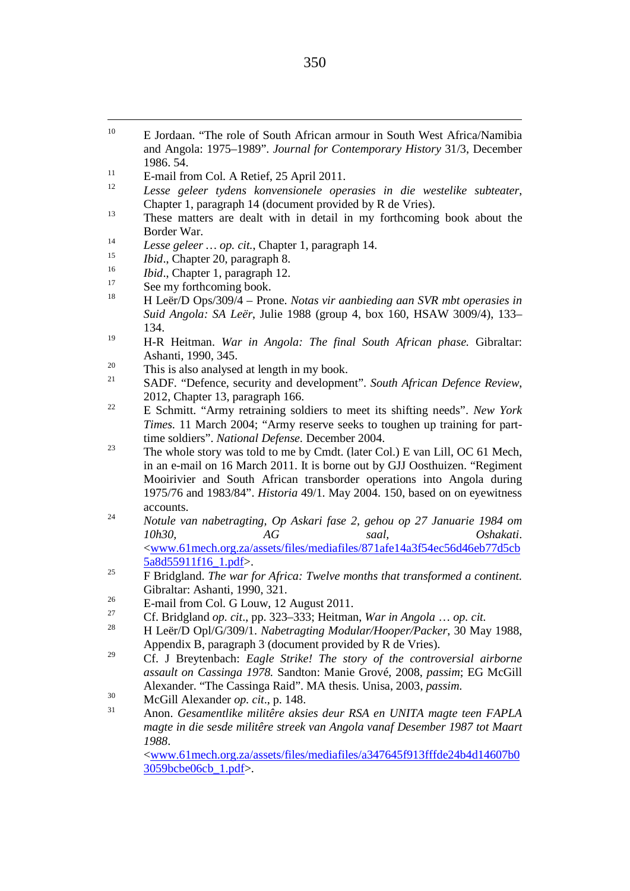- <span id="page-32-21"></span><span id="page-32-20"></span><span id="page-32-19"></span><span id="page-32-18"></span><span id="page-32-17"></span><span id="page-32-16"></span><span id="page-32-15"></span><span id="page-32-14"></span><span id="page-32-13"></span><span id="page-32-12"></span><span id="page-32-11"></span><span id="page-32-10"></span><span id="page-32-9"></span><span id="page-32-8"></span><span id="page-32-7"></span><span id="page-32-6"></span><span id="page-32-5"></span><span id="page-32-4"></span><span id="page-32-3"></span><span id="page-32-2"></span><span id="page-32-1"></span><span id="page-32-0"></span><sup>10</sup> E Jordaan. "The role of South African armour in South West Africa/Namibia and Angola: 1975–1989". *Journal for Contemporary History* 31/3, December 1986. 54.
- <sup>11</sup> E-mail from Col. A Retief, 25 April 2011.
- <sup>12</sup> *Lesse geleer tydens konvensionele operasies in die westelike subteater*, Chapter 1, paragraph 14 (document provided by R de Vries).
- <sup>13</sup> These matters are dealt with in detail in my forthcoming book about the Border War.<br> *Lesse geleer ... op. cit.*, Chapter 1, paragraph 14.
- 
- <sup>15</sup> *Ibid.*, Chapter 20, paragraph 8.<br><sup>16</sup> *Ibid.*, Chapter 1, paragraph 12.
- 
- <sup>17</sup> See my forthcoming book.
- <sup>18</sup> H Leër/D Ops/309/4 Prone. *Notas vir aanbieding aan SVR mbt operasies in Suid Angola: SA Leër*, Julie 1988 (group 4, box 160, HSAW 3009/4), 133– 134.
- <sup>19</sup> H-R Heitman. *War in Angola: The final South African phase.* Gibraltar:
- $\frac{20}{31}$  This is also analysed at length in my book.
- <sup>21</sup> SADF. "Defence, security and development". *South African Defence Review*, 2012, Chapter 13, paragraph 166. <sup>22</sup> E Schmitt. "Army retraining soldiers to meet its shifting needs". *New York*
- *Times.* 11 March 2004; "Army reserve seeks to toughen up training for part-
- <sup>23</sup> The whole story was told to me by Cmdt. (later Col.) E van Lill, OC 61 Mech, in an e-mail on 16 March 2011. It is borne out by GJJ Oosthuizen. "Regiment Mooirivier and South African transborder operations into Angola during 1975/76 and 1983/84". *Historia* 49/1. May 2004. 150, based on on eyewitness accounts. <sup>24</sup> *Notule van nabetragting, Op Askari fase 2, gehou op 27 Januarie 1984 om*
- *10h30, AG saal, Oshakati*. [<www.61mech.org.za/assets/files/mediafiles/871afe14a3f54ec56d46eb77d5cb](http://www.61mech.org.za/assets/files/mediafiles/871afe14a3f54ec56d46eb77d5cb5a8d55911f16_1.pdf) [5a8d55911f16\\_1.pdf>](http://www.61mech.org.za/assets/files/mediafiles/871afe14a3f54ec56d46eb77d5cb5a8d55911f16_1.pdf).
- <sup>25</sup> F Bridgland. *The war for Africa: Twelve months that transformed a continent.* Gibraltar: Ashanti, 1990, 321.<br> **E-mail from Col. G Louw, 12 August 2011.**
- 
- <sup>27</sup> Cf. Bridgland *op. cit*., pp. 323–333; Heitman, *War in Angola* … *op. cit.*
- <sup>28</sup> H Leër/D Opl/G/309/1. *Nabetragting Modular/Hooper/Packer*, 30 May 1988, Appendix B, paragraph 3 (document provided by R de Vries).
- <sup>29</sup> Cf. J Breytenbach: *Eagle Strike! The story of the controversial airborne assault on Cassinga 1978.* Sandton: Manie Grové, 2008, *passim*; EG McGill Alexander. "The Cassinga Raid". MA thesis. Unisa, 2003, *passim*.
- 
- <sup>30</sup> McGill Alexander *op. cit.*, p. 148.<br><sup>31</sup> Anon. *Gesamentlike militêre aksies deur RSA en UNITA magte teen FAPLA magte in die sesde militêre streek van Angola vanaf Desember 1987 tot Maart 1988*.

[<www.61mech.org.za/assets/files/mediafiles/a347645f913fffde24b4d14607b0](http://www.61mech.org.za/assets/files/mediafiles/a347645f913fffde24b4d14607b03059bcbe06cb_1.pdf) [3059bcbe06cb\\_1.pdf>](http://www.61mech.org.za/assets/files/mediafiles/a347645f913fffde24b4d14607b03059bcbe06cb_1.pdf).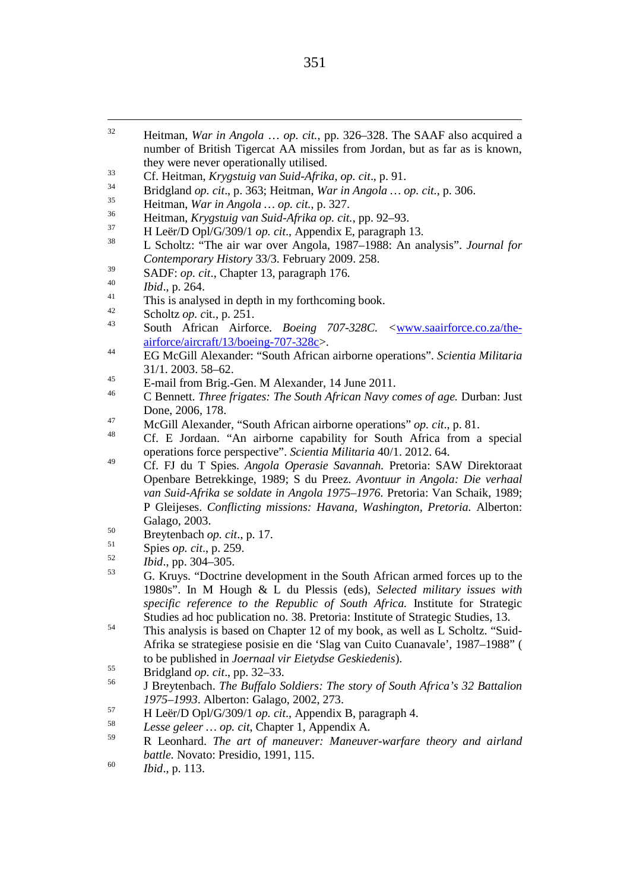- <span id="page-33-28"></span><span id="page-33-27"></span><span id="page-33-26"></span><span id="page-33-25"></span><span id="page-33-24"></span><span id="page-33-23"></span><span id="page-33-22"></span><span id="page-33-21"></span><span id="page-33-20"></span><span id="page-33-19"></span><span id="page-33-18"></span><span id="page-33-17"></span><span id="page-33-16"></span><span id="page-33-15"></span><span id="page-33-14"></span><span id="page-33-13"></span><span id="page-33-12"></span><span id="page-33-11"></span><span id="page-33-10"></span><span id="page-33-9"></span><span id="page-33-8"></span><span id="page-33-7"></span><span id="page-33-6"></span><span id="page-33-5"></span><span id="page-33-4"></span><span id="page-33-3"></span><span id="page-33-2"></span><span id="page-33-1"></span><span id="page-33-0"></span> 32 Heitman, *War in Angola* … *op. cit.*, pp. 326–328. The SAAF also acquired a number of British Tigercat AA missiles from Jordan, but as far as is known, they were never operationally utilised.
- <sup>33</sup> Cf. Heitman, *Krygstuig van Suid-Afrika*, *op. cit*., p. 91.
- <sup>34</sup> Bridgland *op. cit*., p. 363; Heitman, *War in Angola … op. cit.*, p. 306. <sup>35</sup> Heitman, *War in Angola … op. cit.*, p. 327.
- 
- <sup>36</sup> Heitman, *Krygstuig van Suid-Afrika op. cit.*, pp. 92–93.
- 
- <sup>37</sup> H Leër/D Opl/G/309/1 *op. cit.*, Appendix E, paragraph 13.<br><sup>38</sup> L Scholtz: "The air war over Angola, 1987–1988: An analysis". *Journal for Contemporary History* 33/3. February 2009. 258.
- <sup>39</sup> SADF: *op. cit*., Chapter 13, paragraph 176. <sup>40</sup> *Ibid*., p. 264.
- 
- $^{41}$  This is analysed in depth in my forthcoming book.
- 
- <sup>42</sup> Scholtz *op. c*it., p. 251. <sup>43</sup> South African Airforce. *Boeing 707-328C. <*[www.saairforce.co.za/the](http://www.saairforce.co.za/the-airforce/aircraft/13/boeing-707-328c)[airforce/aircraft/13/boeing-707-328c>](http://www.saairforce.co.za/the-airforce/aircraft/13/boeing-707-328c).
- <sup>44</sup> EG McGill Alexander: "South African airborne operations". *Scientia Militaria* 31/1. 2003. 58–62.
- <sup>45</sup> E-mail from Brig.-Gen. M Alexander, 14 June 2011.
- <sup>46</sup> C Bennett. *Three frigates: The South African Navy comes of age.* Durban: Just Done, 2006, 178.
- <sup>47</sup> McGill Alexander, "South African airborne operations" *op. cit*., p. 81.
- Cf. E Jordaan. "An airborne capability for South Africa from a special operations force perspective". *Scientia Militaria* 40/1. 2012. 64.
- <sup>49</sup> Cf. FJ du T Spies. *Angola Operasie Savannah.* Pretoria: SAW Direktoraat Openbare Betrekkinge, 1989; S du Preez. *Avontuur in Angola: Die verhaal van Suid-Afrika se soldate in Angola 1975–1976.* Pretoria: Van Schaik, 1989; P Gleijeses. *Conflicting missions: Havana, Washington, Pretoria.* Alberton: Galago, 2003.
- <sup>50</sup> Breytenbach *op. cit*., p. 17.
- 
- <sup>51</sup> Spies *op. cit*., p. 259. <sup>52</sup> *Ibid*., pp. 304–305.
- <sup>53</sup> G. Kruys. "Doctrine development in the South African armed forces up to the 1980s". In M Hough & L du Plessis (eds), *Selected military issues with specific reference to the Republic of South Africa.* Institute for Strategic Studies ad hoc publication no. 38. Pretoria: Institute of Strategic Studies, 13.
- <sup>54</sup> This analysis is based on Chapter 12 of my book, as well as  $\overline{L}$  Scholtz. "Suid-Afrika se strategiese posisie en die 'Slag van Cuito Cuanavale', 1987–1988" ( to be published in *Joernaal vir Eietydse Geskiedenis*).
- 
- <sup>55</sup> Bridgland *op. cit*., pp. 32–33. <sup>56</sup> J Breytenbach. *The Buffalo Soldiers: The story of South Africa's 32 Battalion 1975–1993*. Alberton: Galago, 2002, 273.
- <sup>57</sup> H Leër/D Opl/G/309/1 *op. cit*., Appendix B, paragraph 4. <sup>58</sup> *Lesse geleer … op. cit*, Chapter 1, Appendix A.
- 
- <sup>59</sup> R Leonhard. *The art of maneuver: Maneuver-warfare theory and airland battle.* Novato: Presidio, 1991, 115. <sup>60</sup> *Ibid*., p. 113.
-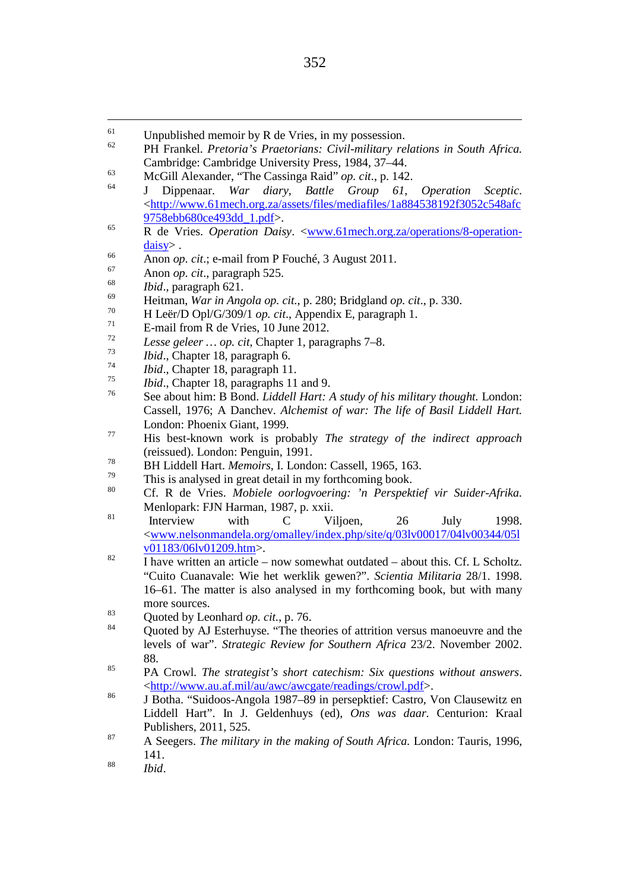- <span id="page-34-27"></span><span id="page-34-26"></span><span id="page-34-25"></span><span id="page-34-24"></span><span id="page-34-23"></span><span id="page-34-22"></span><span id="page-34-21"></span><span id="page-34-20"></span><span id="page-34-19"></span><span id="page-34-18"></span><span id="page-34-17"></span><span id="page-34-16"></span><span id="page-34-15"></span><span id="page-34-14"></span><span id="page-34-13"></span><span id="page-34-12"></span><span id="page-34-11"></span><span id="page-34-10"></span><span id="page-34-9"></span><span id="page-34-8"></span><span id="page-34-7"></span><span id="page-34-6"></span><span id="page-34-5"></span><span id="page-34-4"></span><span id="page-34-3"></span><span id="page-34-2"></span><span id="page-34-1"></span><span id="page-34-0"></span><sup>62</sup> PH Frankel. *Pretoria's Praetorians: Civil-military relations in South Africa.* Cambridge: Cambridge University Press, 1984, 37–44.
- <sup>63</sup> McGill Alexander, "The Cassinga Raid" *op. cit*., p. 142.
- <sup>64</sup> J Dippenaar. *War diary, Battle Group 61, Operation Sceptic*. [<http://www.61mech.org.za/assets/files/mediafiles/1a884538192f3052c548afc](http://www.61mech.org.za/assets/files/mediafiles/1a884538192f3052c548afc9758ebb680ce493dd_1.pdf) [9758ebb680ce493dd\\_1.pdf>](http://www.61mech.org.za/assets/files/mediafiles/1a884538192f3052c548afc9758ebb680ce493dd_1.pdf).
- <sup>65</sup> R de Vries. *Operation Daisy*. [<www.61mech.org.za/operations/8-operation](http://www.61mech.org.za/operations/8-operation-daisy)[daisy>](http://www.61mech.org.za/operations/8-operation-daisy) .
- <sup>66</sup> Anon *op. cit*.; e-mail from P Fouché, 3 August 2011.
- <sup>67</sup> Anon *op. cit*., paragraph 525. 68 *Ibid*., paragraph 621.
- 
- <sup>69</sup> Heitman, *War in Angola op. cit.*, p. 280; Bridgland *op. cit*., p. 330.
- <sup>70</sup> H Leër/D Opl/G/309/1 *op. cit.*, Appendix E, paragraph 1.<br><sup>71</sup> E-mail from R de Vries, 10 June 2012.
- 
- <sup>72</sup> *Lesse geleer … op. cit*, Chapter 1, paragraphs 7–8.
- 
- <sup>74</sup> *Ibid.*, Chapter 18, paragraph 11.
- <sup>75</sup> *Ibid*., Chapter 18, paragraphs 11 and 9.
- <sup>76</sup> See about him: B Bond. *Liddell Hart: A study of his military thought.* London: Cassell, 1976; A Danchev. *Alchemist of war: The life of Basil Liddell Hart.* London: Phoenix Giant, 1999.
- <sup>77</sup> His best-known work is probably *The strategy of the indirect approach* (reissued). London: Penguin, 1991.
- 
- <sup>78</sup> BH Liddell Hart. *Memoirs*, I. London: Cassell, 1965, 163.<br>This is analysed in great detail in my forthcoming book.
- <sup>80</sup> Cf. R de Vries. *Mobiele oorlogvoering: 'n Perspektief vir Suider-Afrika.* Menlopark: FJN Harman, 1987, p. xxii.<br>
<sup>81</sup> Interview with C Viljoen, 26 July 1998.
- [<www.nelsonmandela.org/omalley/index.php/site/q/03lv00017/04lv00344/05l](http://www.nelsonmandela.org/omalley/index.php/site/q/03lv00017/04lv00344/05lv01183/06lv01209.htm)
- $\overline{N}$  I have written an article now somewhat outdated about this. Cf. L Scholtz. "Cuito Cuanavale: Wie het werklik gewen?". *Scientia Militaria* 28/1. 1998. 16–61. The matter is also analysed in my forthcoming book, but with many more sources.
- $\frac{83}{84}$  Quoted by Leonhard *op. cit.*, p. 76.
- Quoted by AJ Esterhuyse. "The theories of attrition versus manoeuvre and the levels of war". *Strategic Review for Southern Africa* 23/2. November 2002. 88.
- <sup>85</sup> PA Crowl. *The strategist's short catechism: Six questions without answers*. [<http://www.au.af.mil/au/awc/awcgate/readings/crowl.pdf>](http://www.au.af.mil/au/awc/awcgate/readings/crowl.pdf).
- <sup>86</sup> J Botha. "Suidoos-Angola 1987–89 in persepktief: Castro, Von Clausewitz en Liddell Hart". In J. Geldenhuys (ed), *Ons was daar.* Centurion: Kraal Publishers, 2011, 525.
- <sup>87</sup> A Seegers. *The military in the making of South Africa.* London: Tauris, 1996, 141. <sup>88</sup> *Ibid*.